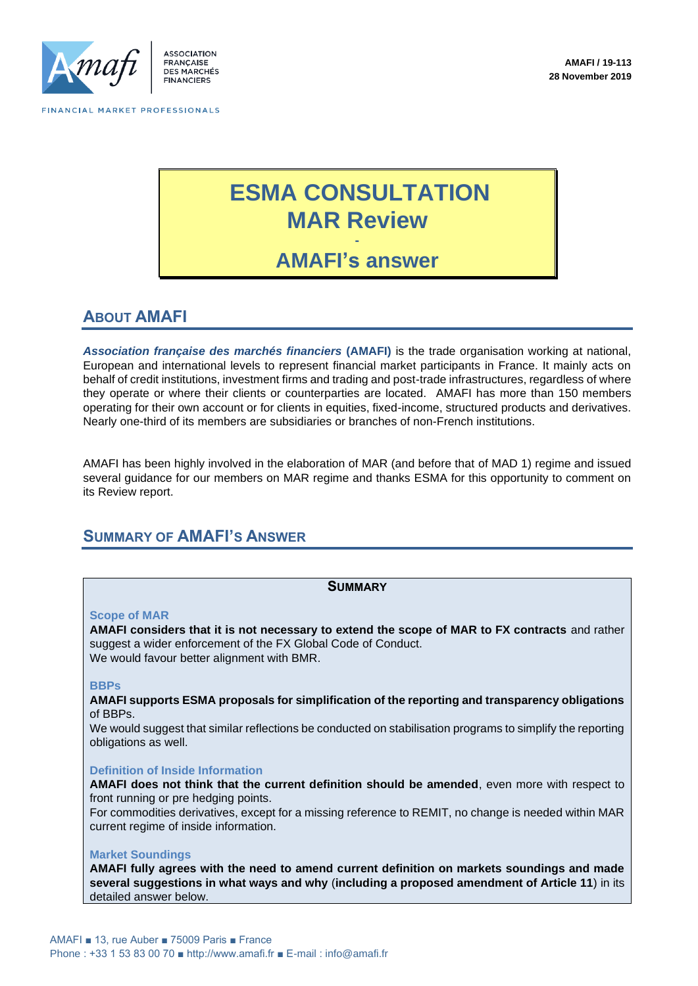

# **ESMA CONSULTATION MAR Review -**

**AMAFI's answer**

## **ABOUT AMAFI**

*Association française des marchés financiers* **(AMAFI)** is the trade organisation working at national, European and international levels to represent financial market participants in France. It mainly acts on behalf of credit institutions, investment firms and trading and post-trade infrastructures, regardless of where they operate or where their clients or counterparties are located. AMAFI has more than 150 members operating for their own account or for clients in equities, fixed-income, structured products and derivatives. Nearly one-third of its members are subsidiaries or branches of non-French institutions.

AMAFI has been highly involved in the elaboration of MAR (and before that of MAD 1) regime and issued several guidance for our members on MAR regime and thanks ESMA for this opportunity to comment on its Review report.

## **SUMMARY OF AMAFI'S ANSWER**

## **SUMMARY**

#### **Scope of MAR**

**AMAFI considers that it is not necessary to extend the scope of MAR to FX contracts** and rather suggest a wider enforcement of the FX Global Code of Conduct. We would favour better alignment with BMR.

#### **BBPs**

**AMAFI supports ESMA proposals for simplification of the reporting and transparency obligations**  of BBPs.

We would suggest that similar reflections be conducted on stabilisation programs to simplify the reporting obligations as well.

#### **Definition of Inside Information**

**AMAFI does not think that the current definition should be amended**, even more with respect to front running or pre hedging points.

For commodities derivatives, except for a missing reference to REMIT, no change is needed within MAR current regime of inside information.

#### **Market Soundings**

**AMAFI fully agrees with the need to amend current definition on markets soundings and made several suggestions in what ways and why** (**including a proposed amendment of Article 11**) in its detailed answer below.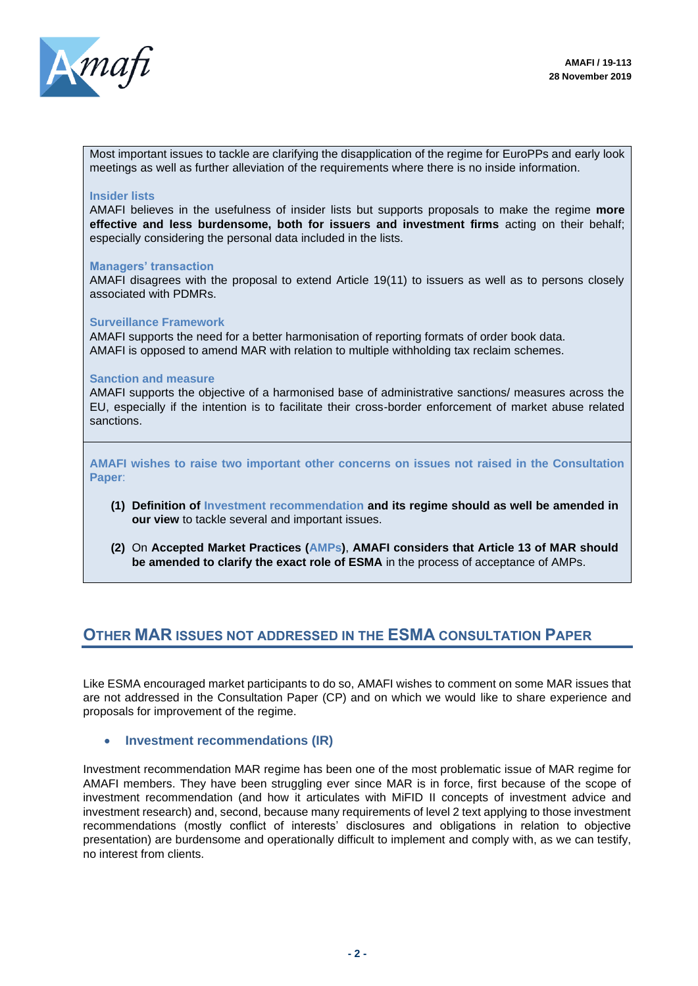

Most important issues to tackle are clarifying the disapplication of the regime for EuroPPs and early look meetings as well as further alleviation of the requirements where there is no inside information.

#### **Insider lists**

AMAFI believes in the usefulness of insider lists but supports proposals to make the regime **more effective and less burdensome, both for issuers and investment firms** acting on their behalf; especially considering the personal data included in the lists.

#### **Managers' transaction**

AMAFI disagrees with the proposal to extend Article 19(11) to issuers as well as to persons closely associated with PDMRs.

#### **Surveillance Framework**

AMAFI supports the need for a better harmonisation of reporting formats of order book data. AMAFI is opposed to amend MAR with relation to multiple withholding tax reclaim schemes.

#### **Sanction and measure**

AMAFI supports the objective of a harmonised base of administrative sanctions/ measures across the EU, especially if the intention is to facilitate their cross-border enforcement of market abuse related sanctions.

**AMAFI wishes to raise two important other concerns on issues not raised in the Consultation Paper**:

- **(1) Definition of Investment recommendation and its regime should as well be amended in our view** to tackle several and important issues.
- **(2)** On **Accepted Market Practices (AMPs)**, **AMAFI considers that Article 13 of MAR should be amended to clarify the exact role of ESMA** in the process of acceptance of AMPs.

## **OTHER MAR ISSUES NOT ADDRESSED IN THE ESMA CONSULTATION PAPER**

Like ESMA encouraged market participants to do so, AMAFI wishes to comment on some MAR issues that are not addressed in the Consultation Paper (CP) and on which we would like to share experience and proposals for improvement of the regime.

#### • **Investment recommendations (IR)**

Investment recommendation MAR regime has been one of the most problematic issue of MAR regime for AMAFI members. They have been struggling ever since MAR is in force, first because of the scope of investment recommendation (and how it articulates with MiFID II concepts of investment advice and investment research) and, second, because many requirements of level 2 text applying to those investment recommendations (mostly conflict of interests' disclosures and obligations in relation to objective presentation) are burdensome and operationally difficult to implement and comply with, as we can testify, no interest from clients.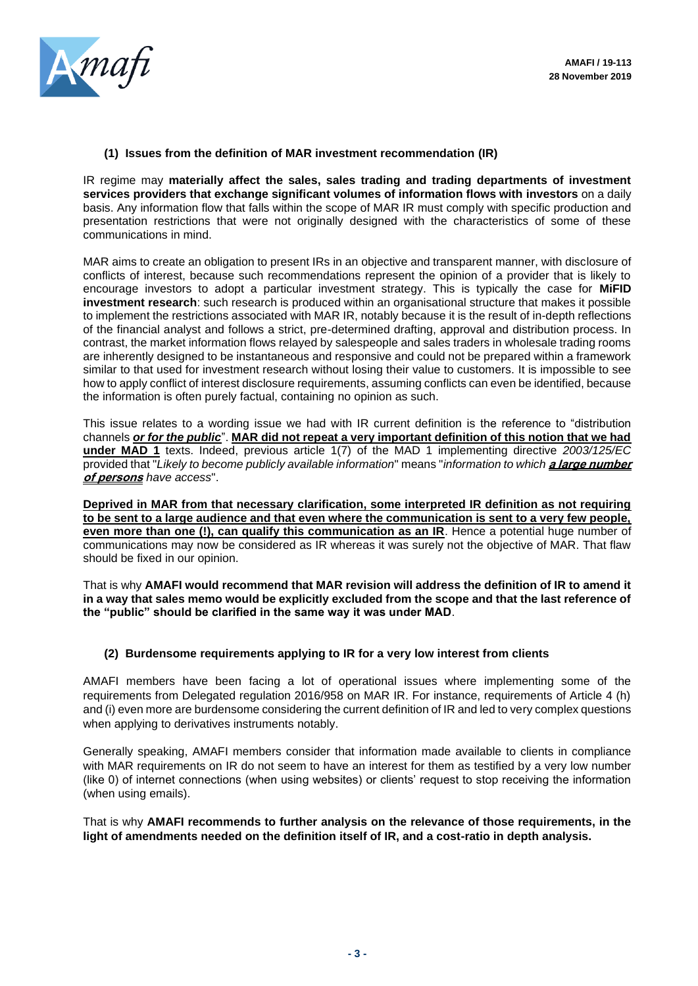

#### **(1) Issues from the definition of MAR investment recommendation (IR)**

IR regime may **materially affect the sales, sales trading and trading departments of investment services providers that exchange significant volumes of information flows with investors** on a daily basis. Any information flow that falls within the scope of MAR IR must comply with specific production and presentation restrictions that were not originally designed with the characteristics of some of these communications in mind.

MAR aims to create an obligation to present IRs in an objective and transparent manner, with disclosure of conflicts of interest, because such recommendations represent the opinion of a provider that is likely to encourage investors to adopt a particular investment strategy. This is typically the case for **MiFID investment research**: such research is produced within an organisational structure that makes it possible to implement the restrictions associated with MAR IR, notably because it is the result of in-depth reflections of the financial analyst and follows a strict, pre-determined drafting, approval and distribution process. In contrast, the market information flows relayed by salespeople and sales traders in wholesale trading rooms are inherently designed to be instantaneous and responsive and could not be prepared within a framework similar to that used for investment research without losing their value to customers. It is impossible to see how to apply conflict of interest disclosure requirements, assuming conflicts can even be identified, because the information is often purely factual, containing no opinion as such.

This issue relates to a wording issue we had with IR current definition is the reference to "distribution channels *or for the public*". **MAR did not repeat a very important definition of this notion that we had under MAD 1** texts. Indeed, previous article 1(7) of the MAD 1 implementing directive *2003/125/EC* provided that "*Likely to become publicly available information*" means "*information to which* **a large number of persons** *have access*".

**Deprived in MAR from that necessary clarification, some interpreted IR definition as not requiring to be sent to a large audience and that even where the communication is sent to a very few people, even more than one (!), can qualify this communication as an IR**. Hence a potential huge number of communications may now be considered as IR whereas it was surely not the objective of MAR. That flaw should be fixed in our opinion.

That is why **AMAFI would recommend that MAR revision will address the definition of IR to amend it in a way that sales memo would be explicitly excluded from the scope and that the last reference of the "public" should be clarified in the same way it was under MAD**.

#### **(2) Burdensome requirements applying to IR for a very low interest from clients**

AMAFI members have been facing a lot of operational issues where implementing some of the requirements from Delegated regulation 2016/958 on MAR IR. For instance, requirements of Article 4 (h) and (i) even more are burdensome considering the current definition of IR and led to very complex questions when applying to derivatives instruments notably.

Generally speaking, AMAFI members consider that information made available to clients in compliance with MAR requirements on IR do not seem to have an interest for them as testified by a very low number (like 0) of internet connections (when using websites) or clients' request to stop receiving the information (when using emails).

That is why **AMAFI recommends to further analysis on the relevance of those requirements, in the light of amendments needed on the definition itself of IR, and a cost-ratio in depth analysis.**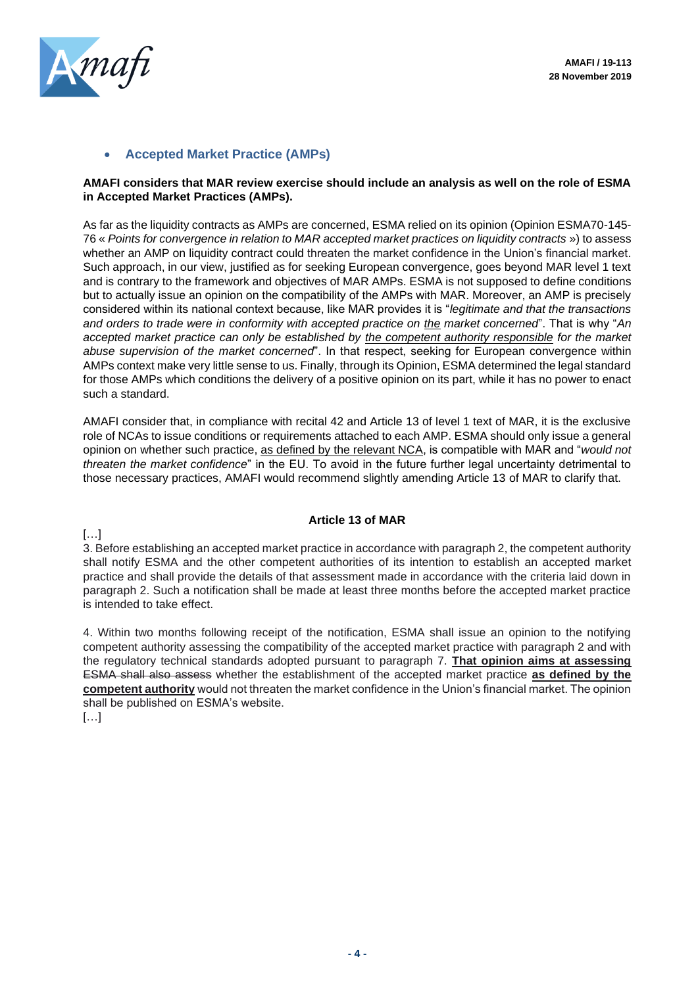

## • **Accepted Market Practice (AMPs)**

## **AMAFI considers that MAR review exercise should include an analysis as well on the role of ESMA in Accepted Market Practices (AMPs).**

As far as the liquidity contracts as AMPs are concerned, ESMA relied on its opinion (Opinion ESMA70-145- 76 « *Points for convergence in relation to MAR accepted market practices on liquidity contracts* ») to assess whether an AMP on liquidity contract could threaten the market confidence in the Union's financial market. Such approach, in our view, justified as for seeking European convergence, goes beyond MAR level 1 text and is contrary to the framework and objectives of MAR AMPs. ESMA is not supposed to define conditions but to actually issue an opinion on the compatibility of the AMPs with MAR. Moreover, an AMP is precisely considered within its national context because, like MAR provides it is "*legitimate and that the transactions and orders to trade were in conformity with accepted practice on the market concerned*". That is why "*An accepted market practice can only be established by the competent authority responsible for the market abuse supervision of the market concerned*". In that respect, seeking for European convergence within AMPs context make very little sense to us. Finally, through its Opinion, ESMA determined the legal standard for those AMPs which conditions the delivery of a positive opinion on its part, while it has no power to enact such a standard.

AMAFI consider that, in compliance with recital 42 and Article 13 of level 1 text of MAR, it is the exclusive role of NCAs to issue conditions or requirements attached to each AMP. ESMA should only issue a general opinion on whether such practice, as defined by the relevant NCA, is compatible with MAR and "*would not threaten the market confidence*" in the EU. To avoid in the future further legal uncertainty detrimental to those necessary practices, AMAFI would recommend slightly amending Article 13 of MAR to clarify that.

## **Article 13 of MAR**

 $\left[\ldots\right]$ 

3. Before establishing an accepted market practice in accordance with paragraph 2, the competent authority shall notify ESMA and the other competent authorities of its intention to establish an accepted market practice and shall provide the details of that assessment made in accordance with the criteria laid down in paragraph 2. Such a notification shall be made at least three months before the accepted market practice is intended to take effect.

4. Within two months following receipt of the notification, ESMA shall issue an opinion to the notifying competent authority assessing the compatibility of the accepted market practice with paragraph 2 and with the regulatory technical standards adopted pursuant to paragraph 7. **That opinion aims at assessing** ESMA shall also assess whether the establishment of the accepted market practice **as defined by the competent authority** would not threaten the market confidence in the Union's financial market. The opinion shall be published on ESMA's website.

[…]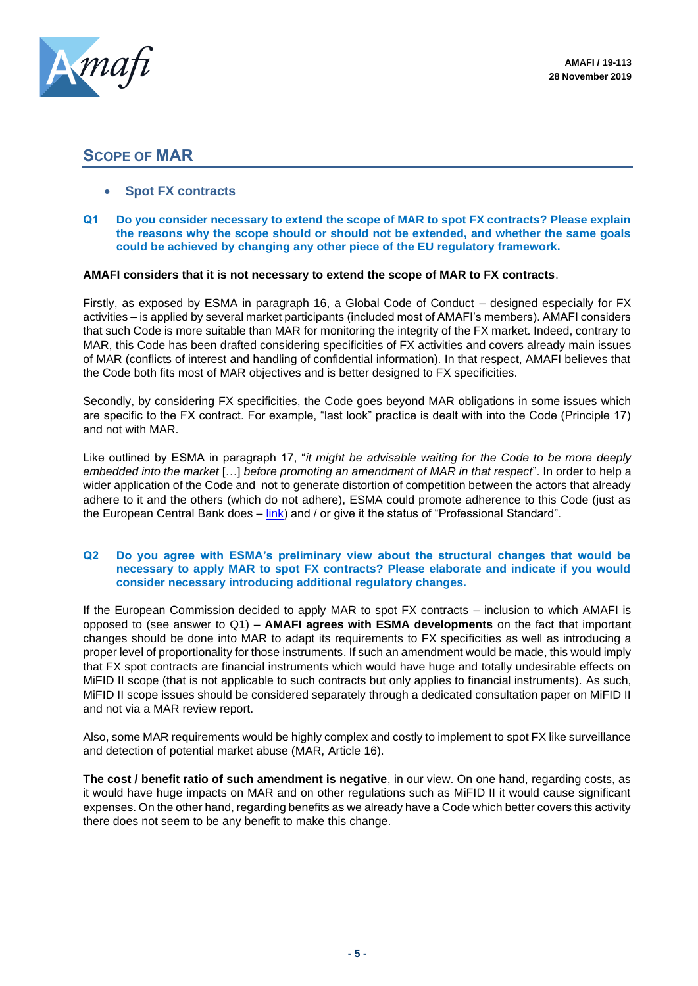

## **SCOPE OF MAR**

- **Spot FX contracts**
- **Q1 Do you consider necessary to extend the scope of MAR to spot FX contracts? Please explain the reasons why the scope should or should not be extended, and whether the same goals could be achieved by changing any other piece of the EU regulatory framework.**

## **AMAFI considers that it is not necessary to extend the scope of MAR to FX contracts**.

Firstly, as exposed by ESMA in paragraph 16, a Global Code of Conduct – designed especially for FX activities – is applied by several market participants (included most of AMAFI's members). AMAFI considers that such Code is more suitable than MAR for monitoring the integrity of the FX market. Indeed, contrary to MAR, this Code has been drafted considering specificities of FX activities and covers already main issues of MAR (conflicts of interest and handling of confidential information). In that respect, AMAFI believes that the Code both fits most of MAR objectives and is better designed to FX specificities.

Secondly, by considering FX specificities, the Code goes beyond MAR obligations in some issues which are specific to the FX contract. For example, "last look" practice is dealt with into the Code (Principle 17) and not with MAR.

Like outlined by ESMA in paragraph 17, "*it might be advisable waiting for the Code to be more deeply embedded into the market* […] *before promoting an amendment of MAR in that respect*". In order to help a wider application of the Code and not to generate distortion of competition between the actors that already adhere to it and the others (which do not adhere), ESMA could promote adherence to this Code (just as the European Central Bank does  $-\lim k$ ) and / or give it the status of "Professional Standard".

#### **Q2 Do you agree with ESMA's preliminary view about the structural changes that would be necessary to apply MAR to spot FX contracts? Please elaborate and indicate if you would consider necessary introducing additional regulatory changes.**

If the European Commission decided to apply MAR to spot FX contracts – inclusion to which AMAFI is opposed to (see answer to Q1) – **AMAFI agrees with ESMA developments** on the fact that important changes should be done into MAR to adapt its requirements to FX specificities as well as introducing a proper level of proportionality for those instruments. If such an amendment would be made, this would imply that FX spot contracts are financial instruments which would have huge and totally undesirable effects on MiFID II scope (that is not applicable to such contracts but only applies to financial instruments). As such, MiFID II scope issues should be considered separately through a dedicated consultation paper on MiFID II and not via a MAR review report.

Also, some MAR requirements would be highly complex and costly to implement to spot FX like surveillance and detection of potential market abuse (MAR, Article 16).

**The cost / benefit ratio of such amendment is negative**, in our view. On one hand, regarding costs, as it would have huge impacts on MAR and on other regulations such as MiFID II it would cause significant expenses. On the other hand, regarding benefits as we already have a Code which better covers this activity there does not seem to be any benefit to make this change.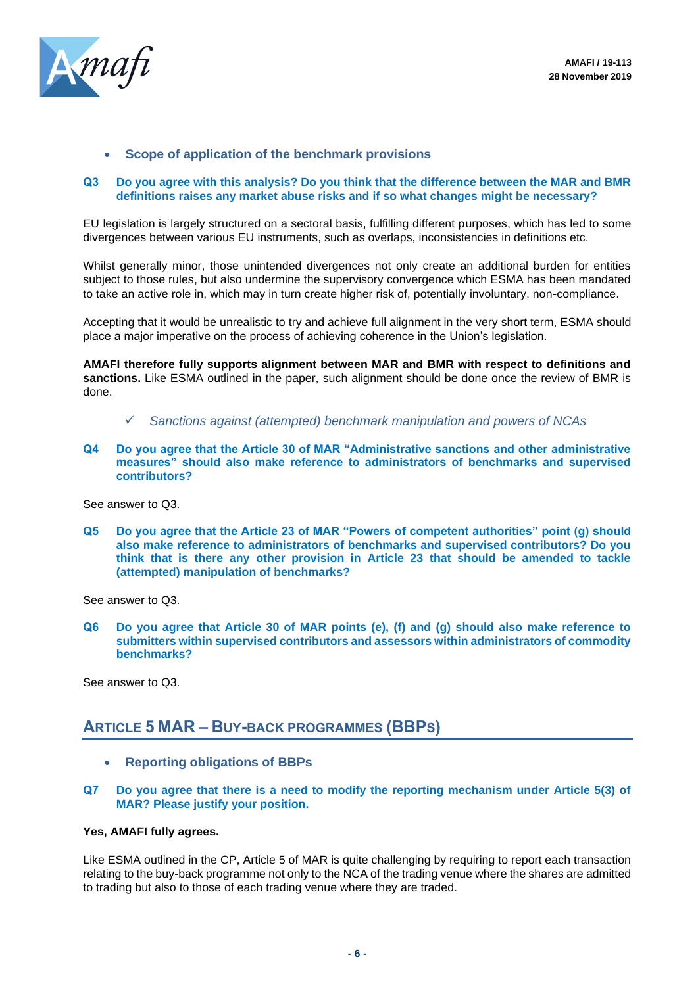

## • **Scope of application of the benchmark provisions**

#### **Q3 Do you agree with this analysis? Do you think that the difference between the MAR and BMR definitions raises any market abuse risks and if so what changes might be necessary?**

EU legislation is largely structured on a sectoral basis, fulfilling different purposes, which has led to some divergences between various EU instruments, such as overlaps, inconsistencies in definitions etc.

Whilst generally minor, those unintended divergences not only create an additional burden for entities subject to those rules, but also undermine the supervisory convergence which ESMA has been mandated to take an active role in, which may in turn create higher risk of, potentially involuntary, non-compliance.

Accepting that it would be unrealistic to try and achieve full alignment in the very short term, ESMA should place a major imperative on the process of achieving coherence in the Union's legislation.

**AMAFI therefore fully supports alignment between MAR and BMR with respect to definitions and sanctions.** Like ESMA outlined in the paper, such alignment should be done once the review of BMR is done.

- ✓ *Sanctions against (attempted) benchmark manipulation and powers of NCAs*
- **Q4 Do you agree that the Article 30 of MAR "Administrative sanctions and other administrative measures" should also make reference to administrators of benchmarks and supervised contributors?**

See answer to Q3.

**Q5 Do you agree that the Article 23 of MAR "Powers of competent authorities" point (g) should also make reference to administrators of benchmarks and supervised contributors? Do you think that is there any other provision in Article 23 that should be amended to tackle (attempted) manipulation of benchmarks?**

See answer to Q3.

**Q6 Do you agree that Article 30 of MAR points (e), (f) and (g) should also make reference to submitters within supervised contributors and assessors within administrators of commodity benchmarks?**

See answer to Q3.

## **ARTICLE 5 MAR – BUY-BACK PROGRAMMES (BBPS)**

- **Reporting obligations of BBPs**
- **Q7 Do you agree that there is a need to modify the reporting mechanism under Article 5(3) of MAR? Please justify your position.**

## **Yes, AMAFI fully agrees.**

Like ESMA outlined in the CP, Article 5 of MAR is quite challenging by requiring to report each transaction relating to the buy-back programme not only to the NCA of the trading venue where the shares are admitted to trading but also to those of each trading venue where they are traded.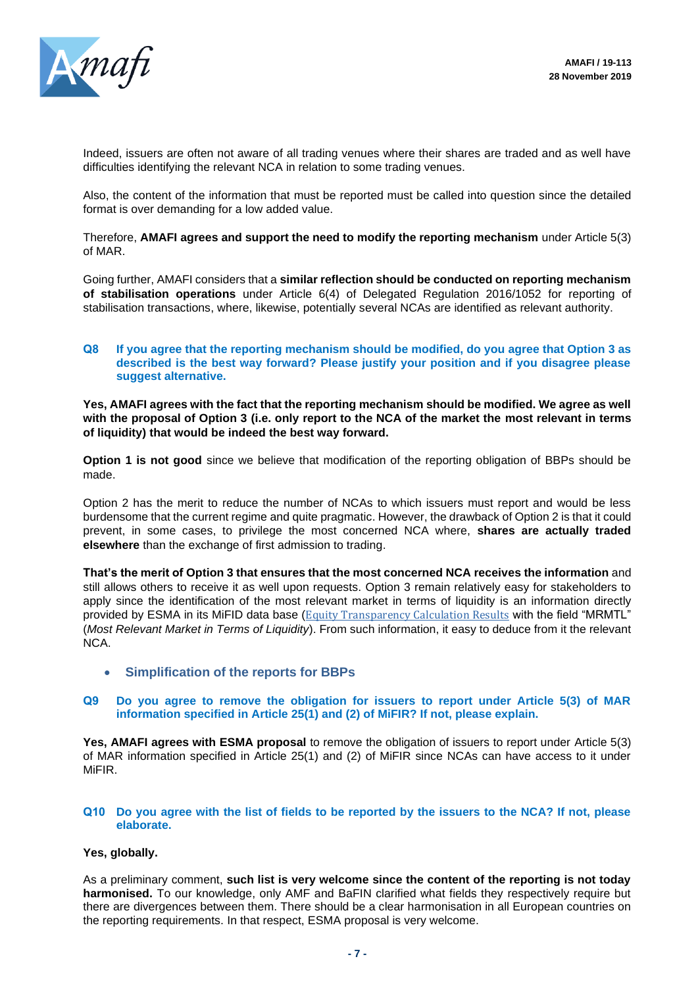

Indeed, issuers are often not aware of all trading venues where their shares are traded and as well have difficulties identifying the relevant NCA in relation to some trading venues.

Also, the content of the information that must be reported must be called into question since the detailed format is over demanding for a low added value.

Therefore, **AMAFI agrees and support the need to modify the reporting mechanism** under Article 5(3) of MAR.

Going further, AMAFI considers that a **similar reflection should be conducted on reporting mechanism of stabilisation operations** under Article 6(4) of Delegated Regulation 2016/1052 for reporting of stabilisation transactions, where, likewise, potentially several NCAs are identified as relevant authority.

## **Q8 If you agree that the reporting mechanism should be modified, do you agree that Option 3 as described is the best way forward? Please justify your position and if you disagree please suggest alternative.**

**Yes, AMAFI agrees with the fact that the reporting mechanism should be modified. We agree as well with the proposal of Option 3 (i.e. only report to the NCA of the market the most relevant in terms of liquidity) that would be indeed the best way forward.**

**Option 1 is not good** since we believe that modification of the reporting obligation of BBPs should be made.

Option 2 has the merit to reduce the number of NCAs to which issuers must report and would be less burdensome that the current regime and quite pragmatic. However, the drawback of Option 2 is that it could prevent, in some cases, to privilege the most concerned NCA where, **shares are actually traded elsewhere** than the exchange of first admission to trading.

**That's the merit of Option 3 that ensures that the most concerned NCA receives the information** and still allows others to receive it as well upon requests. Option 3 remain relatively easy for stakeholders to apply since the identification of the most relevant market in terms of liquidity is an information directly provided by ESMA in its MiFID data base (Equity [Transparency](https://registers.esma.europa.eu/publication/searchRegister?core=esma_registers_fitrs_equities) Calculation Results with the field "MRMTL" (*Most Relevant Market in Terms of Liquidity*). From such information, it easy to deduce from it the relevant NCA.

• **Simplification of the reports for BBPs**

#### **Q9 Do you agree to remove the obligation for issuers to report under Article 5(3) of MAR information specified in Article 25(1) and (2) of MiFIR? If not, please explain.**

**Yes, AMAFI agrees with ESMA proposal** to remove the obligation of issuers to report under Article 5(3) of MAR information specified in Article 25(1) and (2) of MiFIR since NCAs can have access to it under **MiFIR** 

## **Q10 Do you agree with the list of fields to be reported by the issuers to the NCA? If not, please elaborate.**

## **Yes, globally.**

As a preliminary comment, **such list is very welcome since the content of the reporting is not today harmonised.** To our knowledge, only AMF and BaFIN clarified what fields they respectively require but there are divergences between them. There should be a clear harmonisation in all European countries on the reporting requirements. In that respect, ESMA proposal is very welcome.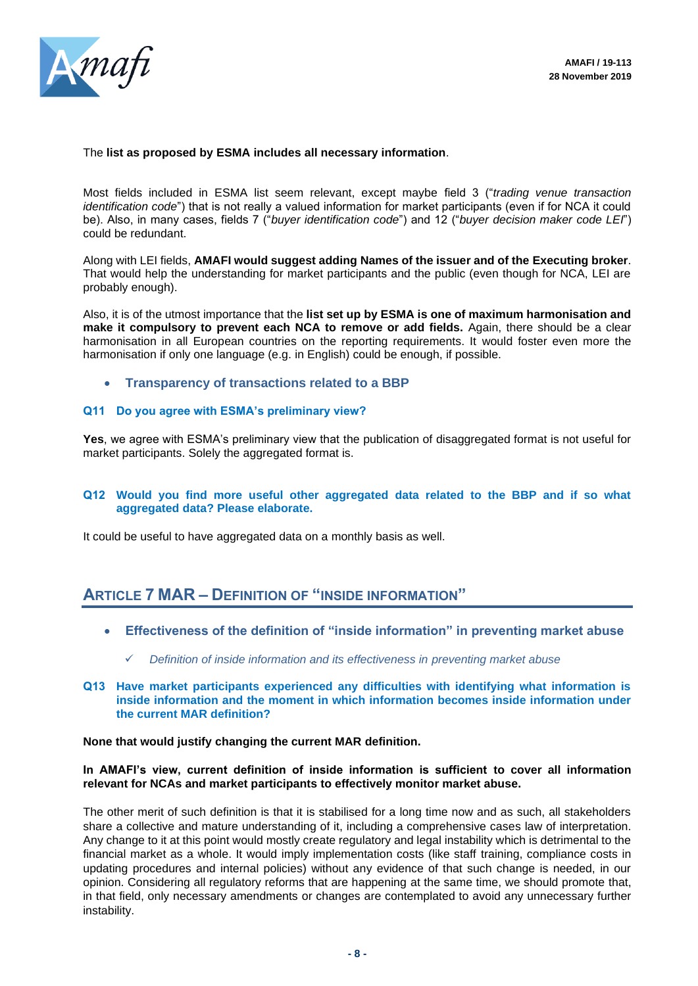

#### The **list as proposed by ESMA includes all necessary information**.

Most fields included in ESMA list seem relevant, except maybe field 3 ("*trading venue transaction identification code*") that is not really a valued information for market participants (even if for NCA it could be). Also, in many cases, fields 7 ("*buyer identification code*") and 12 ("*buyer decision maker code LEI*") could be redundant.

Along with LEI fields, **AMAFI would suggest adding Names of the issuer and of the Executing broker**. That would help the understanding for market participants and the public (even though for NCA, LEI are probably enough).

Also, it is of the utmost importance that the **list set up by ESMA is one of maximum harmonisation and make it compulsory to prevent each NCA to remove or add fields.** Again, there should be a clear harmonisation in all European countries on the reporting requirements. It would foster even more the harmonisation if only one language (e.g. in English) could be enough, if possible.

• **Transparency of transactions related to a BBP**

## **Q11 Do you agree with ESMA's preliminary view?**

**Yes**, we agree with ESMA's preliminary view that the publication of disaggregated format is not useful for market participants. Solely the aggregated format is.

## **Q12 Would you find more useful other aggregated data related to the BBP and if so what aggregated data? Please elaborate.**

It could be useful to have aggregated data on a monthly basis as well.

## **ARTICLE 7 MAR – DEFINITION OF "INSIDE INFORMATION"**

- **Effectiveness of the definition of "inside information" in preventing market abuse**
	- ✓ *Definition of inside information and its effectiveness in preventing market abuse*
- **Q13 Have market participants experienced any difficulties with identifying what information is inside information and the moment in which information becomes inside information under the current MAR definition?**

#### **None that would justify changing the current MAR definition.**

## **In AMAFI's view, current definition of inside information is sufficient to cover all information relevant for NCAs and market participants to effectively monitor market abuse.**

The other merit of such definition is that it is stabilised for a long time now and as such, all stakeholders share a collective and mature understanding of it, including a comprehensive cases law of interpretation. Any change to it at this point would mostly create regulatory and legal instability which is detrimental to the financial market as a whole. It would imply implementation costs (like staff training, compliance costs in updating procedures and internal policies) without any evidence of that such change is needed, in our opinion. Considering all regulatory reforms that are happening at the same time, we should promote that, in that field, only necessary amendments or changes are contemplated to avoid any unnecessary further instability.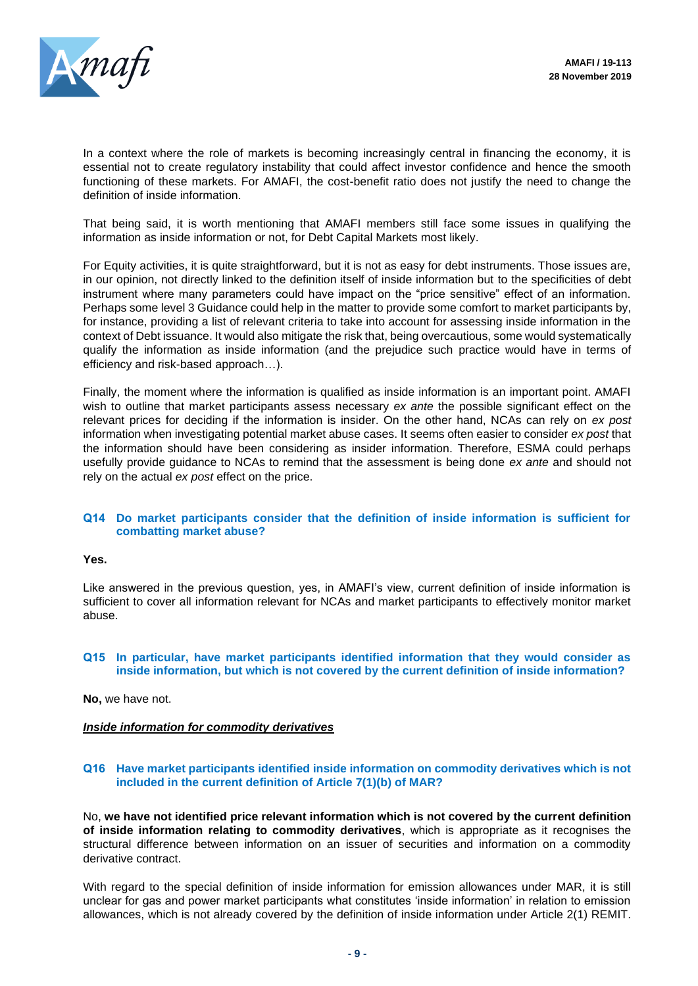

In a context where the role of markets is becoming increasingly central in financing the economy, it is essential not to create regulatory instability that could affect investor confidence and hence the smooth functioning of these markets. For AMAFI, the cost-benefit ratio does not justify the need to change the definition of inside information.

That being said, it is worth mentioning that AMAFI members still face some issues in qualifying the information as inside information or not, for Debt Capital Markets most likely.

For Equity activities, it is quite straightforward, but it is not as easy for debt instruments. Those issues are, in our opinion, not directly linked to the definition itself of inside information but to the specificities of debt instrument where many parameters could have impact on the "price sensitive" effect of an information. Perhaps some level 3 Guidance could help in the matter to provide some comfort to market participants by, for instance, providing a list of relevant criteria to take into account for assessing inside information in the context of Debt issuance. It would also mitigate the risk that, being overcautious, some would systematically qualify the information as inside information (and the prejudice such practice would have in terms of efficiency and risk-based approach…).

Finally, the moment where the information is qualified as inside information is an important point. AMAFI wish to outline that market participants assess necessary *ex ante* the possible significant effect on the relevant prices for deciding if the information is insider. On the other hand, NCAs can rely on *ex post* information when investigating potential market abuse cases. It seems often easier to consider *ex post* that the information should have been considering as insider information. Therefore, ESMA could perhaps usefully provide guidance to NCAs to remind that the assessment is being done *ex ante* and should not rely on the actual *ex post* effect on the price.

#### **Q14 Do market participants consider that the definition of inside information is sufficient for combatting market abuse?**

#### **Yes.**

Like answered in the previous question, yes, in AMAFI's view, current definition of inside information is sufficient to cover all information relevant for NCAs and market participants to effectively monitor market abuse.

## **Q15 In particular, have market participants identified information that they would consider as inside information, but which is not covered by the current definition of inside information?**

**No,** we have not.

#### *Inside information for commodity derivatives*

## **Q16 Have market participants identified inside information on commodity derivatives which is not included in the current definition of Article 7(1)(b) of MAR?**

No, **we have not identified price relevant information which is not covered by the current definition of inside information relating to commodity derivatives**, which is appropriate as it recognises the structural difference between information on an issuer of securities and information on a commodity derivative contract.

With regard to the special definition of inside information for emission allowances under MAR, it is still unclear for gas and power market participants what constitutes 'inside information' in relation to emission allowances, which is not already covered by the definition of inside information under Article 2(1) REMIT.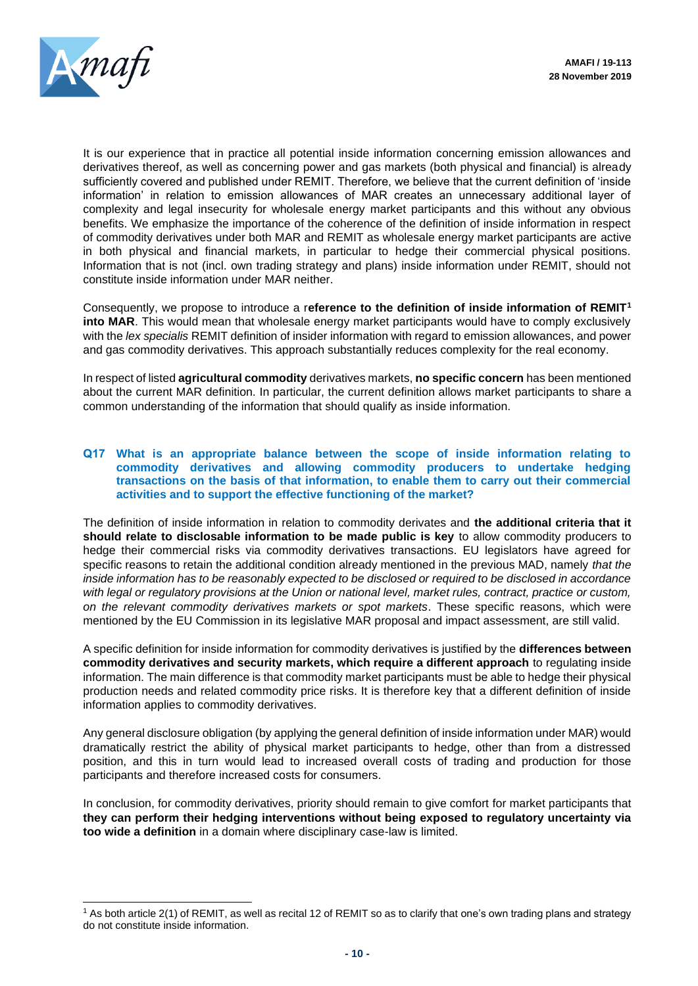

It is our experience that in practice all potential inside information concerning emission allowances and derivatives thereof, as well as concerning power and gas markets (both physical and financial) is already sufficiently covered and published under REMIT. Therefore, we believe that the current definition of 'inside information' in relation to emission allowances of MAR creates an unnecessary additional layer of complexity and legal insecurity for wholesale energy market participants and this without any obvious benefits. We emphasize the importance of the coherence of the definition of inside information in respect of commodity derivatives under both MAR and REMIT as wholesale energy market participants are active in both physical and financial markets, in particular to hedge their commercial physical positions. Information that is not (incl. own trading strategy and plans) inside information under REMIT, should not constitute inside information under MAR neither.

Consequently, we propose to introduce a r**eference to the definition of inside information of REMIT<sup>1</sup> into MAR**. This would mean that wholesale energy market participants would have to comply exclusively with the *lex specialis* REMIT definition of insider information with regard to emission allowances, and power and gas commodity derivatives. This approach substantially reduces complexity for the real economy.

In respect of listed **agricultural commodity** derivatives markets, **no specific concern** has been mentioned about the current MAR definition. In particular, the current definition allows market participants to share a common understanding of the information that should qualify as inside information.

#### **Q17 What is an appropriate balance between the scope of inside information relating to commodity derivatives and allowing commodity producers to undertake hedging transactions on the basis of that information, to enable them to carry out their commercial activities and to support the effective functioning of the market?**

The definition of inside information in relation to commodity derivates and **the additional criteria that it should relate to disclosable information to be made public is key** to allow commodity producers to hedge their commercial risks via commodity derivatives transactions. EU legislators have agreed for specific reasons to retain the additional condition already mentioned in the previous MAD, namely *that the inside information has to be reasonably expected to be disclosed or required to be disclosed in accordance*  with legal or regulatory provisions at the Union or national level, market rules, contract, practice or custom, *on the relevant commodity derivatives markets or spot markets*. These specific reasons, which were mentioned by the EU Commission in its legislative MAR proposal and impact assessment, are still valid.

A specific definition for inside information for commodity derivatives is justified by the **differences between commodity derivatives and security markets, which require a different approach** to regulating inside information. The main difference is that commodity market participants must be able to hedge their physical production needs and related commodity price risks. It is therefore key that a different definition of inside information applies to commodity derivatives.

Any general disclosure obligation (by applying the general definition of inside information under MAR) would dramatically restrict the ability of physical market participants to hedge, other than from a distressed position, and this in turn would lead to increased overall costs of trading and production for those participants and therefore increased costs for consumers.

In conclusion, for commodity derivatives, priority should remain to give comfort for market participants that **they can perform their hedging interventions without being exposed to regulatory uncertainty via too wide a definition** in a domain where disciplinary case-law is limited.

<sup>&</sup>lt;sup>1</sup> As both article 2(1) of REMIT, as well as recital 12 of REMIT so as to clarify that one's own trading plans and strategy do not constitute inside information.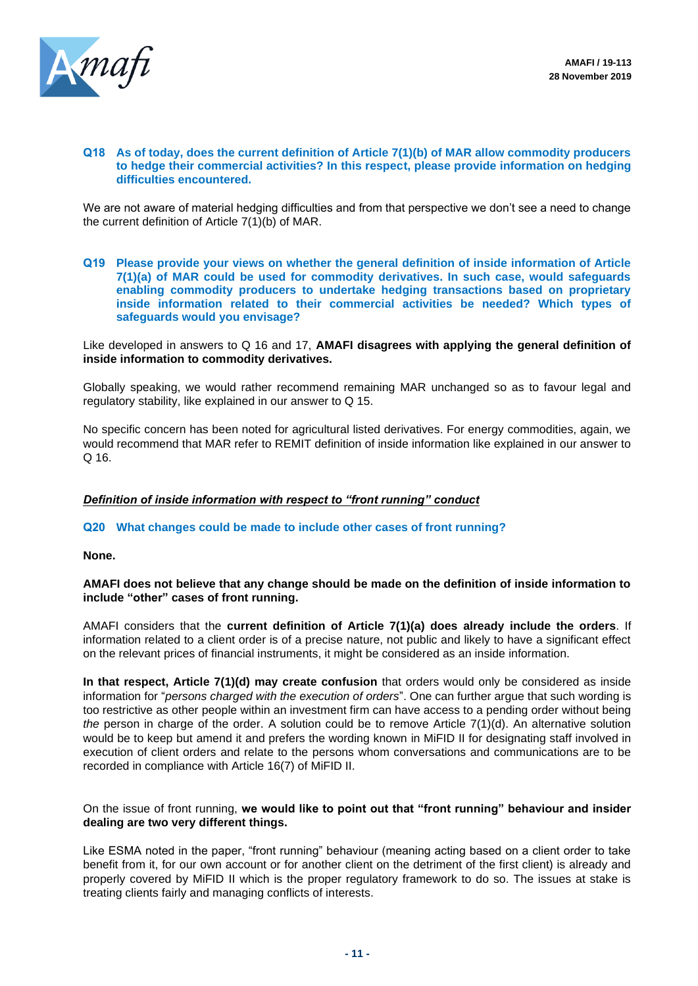

#### **Q18 As of today, does the current definition of Article 7(1)(b) of MAR allow commodity producers to hedge their commercial activities? In this respect, please provide information on hedging difficulties encountered.**

We are not aware of material hedging difficulties and from that perspective we don't see a need to change the current definition of Article 7(1)(b) of MAR.

**Q19 Please provide your views on whether the general definition of inside information of Article 7(1)(a) of MAR could be used for commodity derivatives. In such case, would safeguards enabling commodity producers to undertake hedging transactions based on proprietary inside information related to their commercial activities be needed? Which types of safeguards would you envisage?**

Like developed in answers to Q 16 and 17, **AMAFI disagrees with applying the general definition of inside information to commodity derivatives.** 

Globally speaking, we would rather recommend remaining MAR unchanged so as to favour legal and regulatory stability, like explained in our answer to Q 15.

No specific concern has been noted for agricultural listed derivatives. For energy commodities, again, we would recommend that MAR refer to REMIT definition of inside information like explained in our answer to  $Q$  16.

## *Definition of inside information with respect to "front running" conduct*

**Q20 What changes could be made to include other cases of front running?**

**None.**

## **AMAFI does not believe that any change should be made on the definition of inside information to include "other" cases of front running.**

AMAFI considers that the **current definition of Article 7(1)(a) does already include the orders**. If information related to a client order is of a precise nature, not public and likely to have a significant effect on the relevant prices of financial instruments, it might be considered as an inside information.

**In that respect, Article 7(1)(d) may create confusion** that orders would only be considered as inside information for "*persons charged with the execution of orders*". One can further argue that such wording is too restrictive as other people within an investment firm can have access to a pending order without being *the* person in charge of the order. A solution could be to remove Article 7(1)(d). An alternative solution would be to keep but amend it and prefers the wording known in MiFID II for designating staff involved in execution of client orders and relate to the persons whom conversations and communications are to be recorded in compliance with Article 16(7) of MiFID II.

## On the issue of front running, **we would like to point out that "front running" behaviour and insider dealing are two very different things.**

Like ESMA noted in the paper, "front running" behaviour (meaning acting based on a client order to take benefit from it, for our own account or for another client on the detriment of the first client) is already and properly covered by MiFID II which is the proper regulatory framework to do so. The issues at stake is treating clients fairly and managing conflicts of interests.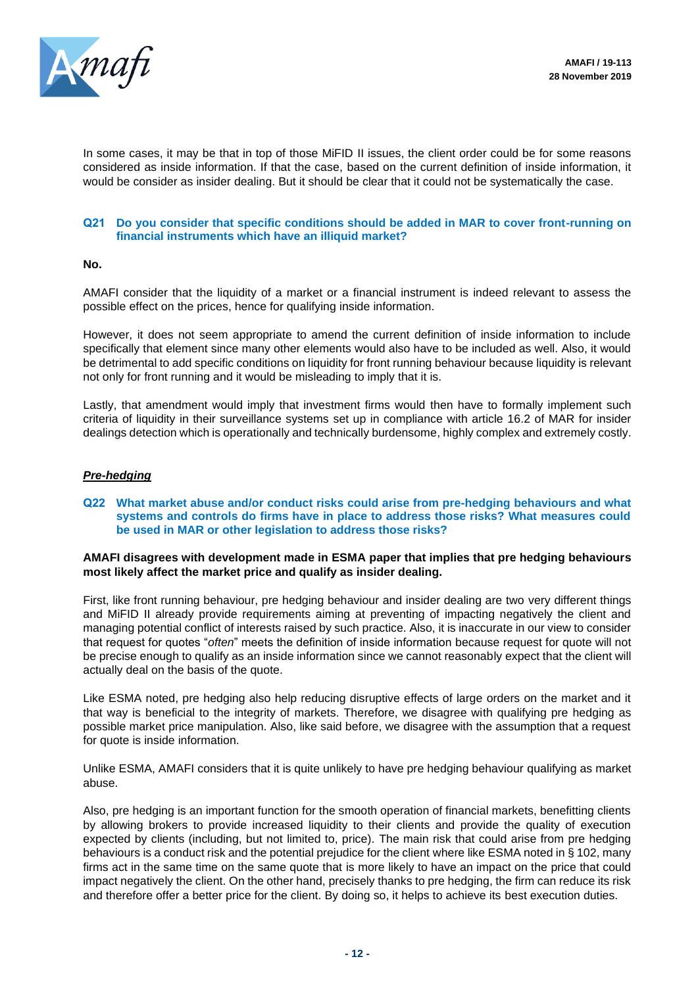

In some cases, it may be that in top of those MiFID II issues, the client order could be for some reasons considered as inside information. If that the case, based on the current definition of inside information, it would be consider as insider dealing. But it should be clear that it could not be systematically the case.

## **Q21 Do you consider that specific conditions should be added in MAR to cover front-running on financial instruments which have an illiquid market?**

#### **No.**

AMAFI consider that the liquidity of a market or a financial instrument is indeed relevant to assess the possible effect on the prices, hence for qualifying inside information.

However, it does not seem appropriate to amend the current definition of inside information to include specifically that element since many other elements would also have to be included as well. Also, it would be detrimental to add specific conditions on liquidity for front running behaviour because liquidity is relevant not only for front running and it would be misleading to imply that it is.

Lastly, that amendment would imply that investment firms would then have to formally implement such criteria of liquidity in their surveillance systems set up in compliance with article 16.2 of MAR for insider dealings detection which is operationally and technically burdensome, highly complex and extremely costly.

## *Pre-hedging*

#### **Q22 What market abuse and/or conduct risks could arise from pre-hedging behaviours and what systems and controls do firms have in place to address those risks? What measures could be used in MAR or other legislation to address those risks?**

#### **AMAFI disagrees with development made in ESMA paper that implies that pre hedging behaviours most likely affect the market price and qualify as insider dealing.**

First, like front running behaviour, pre hedging behaviour and insider dealing are two very different things and MiFID II already provide requirements aiming at preventing of impacting negatively the client and managing potential conflict of interests raised by such practice. Also, it is inaccurate in our view to consider that request for quotes "*often*" meets the definition of inside information because request for quote will not be precise enough to qualify as an inside information since we cannot reasonably expect that the client will actually deal on the basis of the quote.

Like ESMA noted, pre hedging also help reducing disruptive effects of large orders on the market and it that way is beneficial to the integrity of markets. Therefore, we disagree with qualifying pre hedging as possible market price manipulation. Also, like said before, we disagree with the assumption that a request for quote is inside information.

Unlike ESMA, AMAFI considers that it is quite unlikely to have pre hedging behaviour qualifying as market abuse.

Also, pre hedging is an important function for the smooth operation of financial markets, benefitting clients by allowing brokers to provide increased liquidity to their clients and provide the quality of execution expected by clients (including, but not limited to, price). The main risk that could arise from pre hedging behaviours is a conduct risk and the potential prejudice for the client where like ESMA noted in § 102, many firms act in the same time on the same quote that is more likely to have an impact on the price that could impact negatively the client. On the other hand, precisely thanks to pre hedging, the firm can reduce its risk and therefore offer a better price for the client. By doing so, it helps to achieve its best execution duties.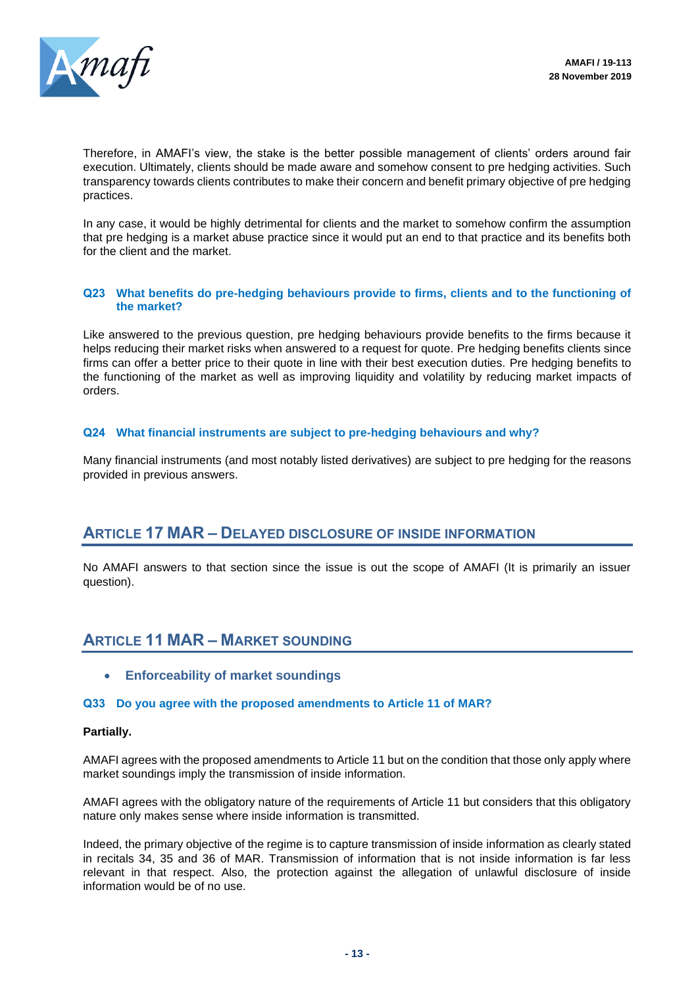

Therefore, in AMAFI's view, the stake is the better possible management of clients' orders around fair execution. Ultimately, clients should be made aware and somehow consent to pre hedging activities. Such transparency towards clients contributes to make their concern and benefit primary objective of pre hedging practices.

In any case, it would be highly detrimental for clients and the market to somehow confirm the assumption that pre hedging is a market abuse practice since it would put an end to that practice and its benefits both for the client and the market.

## **Q23 What benefits do pre-hedging behaviours provide to firms, clients and to the functioning of the market?**

Like answered to the previous question, pre hedging behaviours provide benefits to the firms because it helps reducing their market risks when answered to a request for quote. Pre hedging benefits clients since firms can offer a better price to their quote in line with their best execution duties. Pre hedging benefits to the functioning of the market as well as improving liquidity and volatility by reducing market impacts of orders.

## **Q24 What financial instruments are subject to pre-hedging behaviours and why?**

Many financial instruments (and most notably listed derivatives) are subject to pre hedging for the reasons provided in previous answers.

## **ARTICLE 17 MAR – DELAYED DISCLOSURE OF INSIDE INFORMATION**

No AMAFI answers to that section since the issue is out the scope of AMAFI (It is primarily an issuer question).

## **ARTICLE 11 MAR – MARKET SOUNDING**

• **Enforceability of market soundings**

## **Q33 Do you agree with the proposed amendments to Article 11 of MAR?**

#### **Partially.**

AMAFI agrees with the proposed amendments to Article 11 but on the condition that those only apply where market soundings imply the transmission of inside information.

AMAFI agrees with the obligatory nature of the requirements of Article 11 but considers that this obligatory nature only makes sense where inside information is transmitted.

Indeed, the primary objective of the regime is to capture transmission of inside information as clearly stated in recitals 34, 35 and 36 of MAR. Transmission of information that is not inside information is far less relevant in that respect. Also, the protection against the allegation of unlawful disclosure of inside information would be of no use.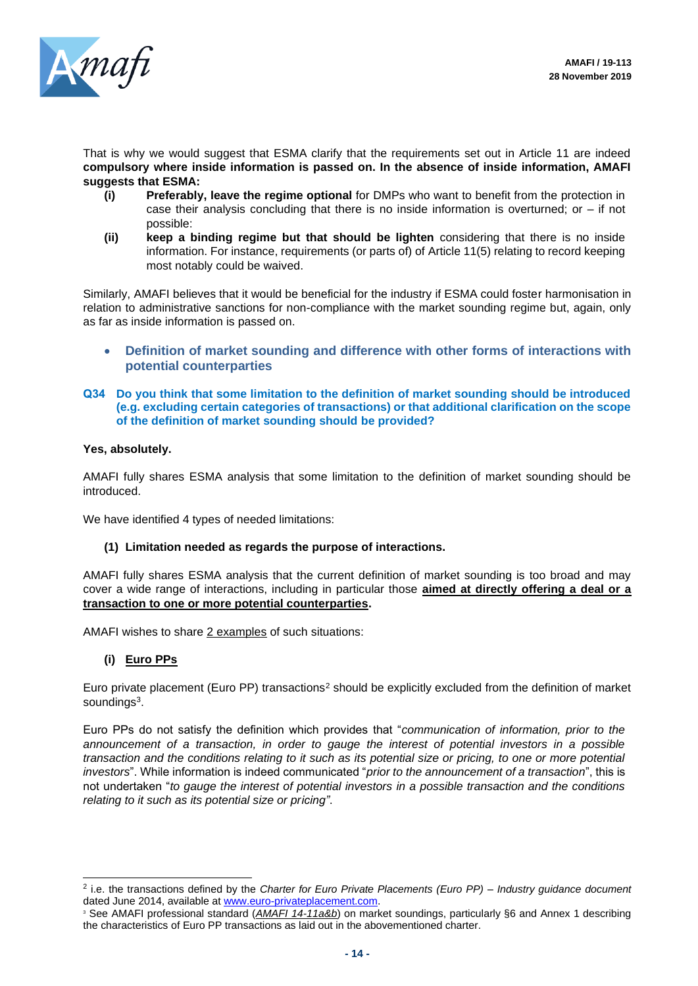

That is why we would suggest that ESMA clarify that the requirements set out in Article 11 are indeed **compulsory where inside information is passed on. In the absence of inside information, AMAFI suggests that ESMA:**

- **(i) Preferably, leave the regime optional** for DMPs who want to benefit from the protection in case their analysis concluding that there is no inside information is overturned; or – if not possible:
- **(ii) keep a binding regime but that should be lighten** considering that there is no inside information. For instance, requirements (or parts of) of Article 11(5) relating to record keeping most notably could be waived.

Similarly, AMAFI believes that it would be beneficial for the industry if ESMA could foster harmonisation in relation to administrative sanctions for non-compliance with the market sounding regime but, again, only as far as inside information is passed on.

- **Definition of market sounding and difference with other forms of interactions with potential counterparties**
- **Q34 Do you think that some limitation to the definition of market sounding should be introduced (e.g. excluding certain categories of transactions) or that additional clarification on the scope of the definition of market sounding should be provided?**

## **Yes, absolutely.**

AMAFI fully shares ESMA analysis that some limitation to the definition of market sounding should be introduced.

We have identified 4 types of needed limitations:

## **(1) Limitation needed as regards the purpose of interactions.**

AMAFI fully shares ESMA analysis that the current definition of market sounding is too broad and may cover a wide range of interactions, including in particular those **aimed at directly offering a deal or a transaction to one or more potential counterparties.** 

AMAFI wishes to share 2 examples of such situations:

## **(i) Euro PPs**

Euro private placement (Euro PP) transactions<sup>2</sup> should be explicitly excluded from the definition of market soundings<sup>3</sup>.

Euro PPs do not satisfy the definition which provides that "*communication of information, prior to the announcement of a transaction, in order to gauge the interest of potential investors in a possible transaction and the conditions relating to it such as its potential size or pricing, to one or more potential investors*". While information is indeed communicated "*prior to the announcement of a transaction*", this is not undertaken "*to gauge the interest of potential investors in a possible transaction and the conditions relating to it such as its potential size or pricing"*.

<sup>2</sup> i.e. the transactions defined by the *Charter for Euro Private Placements (Euro PP) – Industry guidance document* dated June 2014, available at [www.euro-privateplacement.com.](http://www.euro-privateplacement.com/)

<sup>3</sup> See AMAFI professional standard (*AMAFI 14-11a&b*) on market soundings, particularly §6 and Annex 1 describing the characteristics of Euro PP transactions as laid out in the abovementioned charter.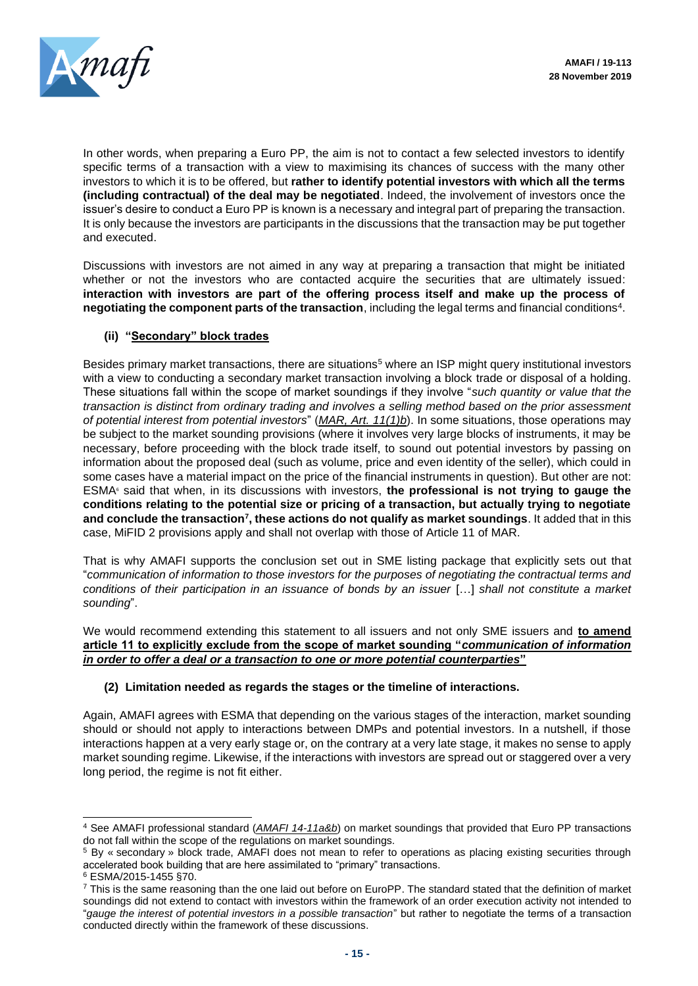

In other words, when preparing a Euro PP, the aim is not to contact a few selected investors to identify specific terms of a transaction with a view to maximising its chances of success with the many other investors to which it is to be offered, but **rather to identify potential investors with which all the terms (including contractual) of the deal may be negotiated**. Indeed, the involvement of investors once the issuer's desire to conduct a Euro PP is known is a necessary and integral part of preparing the transaction. It is only because the investors are participants in the discussions that the transaction may be put together and executed.

Discussions with investors are not aimed in any way at preparing a transaction that might be initiated whether or not the investors who are contacted acquire the securities that are ultimately issued: **interaction with investors are part of the offering process itself and make up the process of negotiating the component parts of the transaction**, including the legal terms and financial conditions<sup>4</sup> .

## **(ii) "Secondary" block trades**

Besides primary market transactions, there are situations<sup>5</sup> where an ISP might query institutional investors with a view to conducting a secondary market transaction involving a block trade or disposal of a holding. These situations fall within the scope of market soundings if they involve "*such quantity or value that the transaction is distinct from ordinary trading and involves a selling method based on the prior assessment of potential interest from potential investors*" (*MAR, Art. 11(1)b*). In some situations, those operations may be subject to the market sounding provisions (where it involves very large blocks of instruments, it may be necessary, before proceeding with the block trade itself, to sound out potential investors by passing on information about the proposed deal (such as volume, price and even identity of the seller), which could in some cases have a material impact on the price of the financial instruments in question). But other are not: ESMA<sup>6</sup> said that when, in its discussions with investors, **the professional is not trying to gauge the conditions relating to the potential size or pricing of a transaction, but actually trying to negotiate and conclude the transaction<sup>7</sup> , these actions do not qualify as market soundings**. It added that in this case, MiFID 2 provisions apply and shall not overlap with those of Article 11 of MAR.

That is why AMAFI supports the conclusion set out in SME listing package that explicitly sets out that "*communication of information to those investors for the purposes of negotiating the contractual terms and conditions of their participation in an issuance of bonds by an issuer* […] *shall not constitute a market sounding*".

We would recommend extending this statement to all issuers and not only SME issuers and **to amend article 11 to explicitly exclude from the scope of market sounding "***communication of information in order to offer a deal or a transaction to one or more potential counterparties***"**

## **(2) Limitation needed as regards the stages or the timeline of interactions.**

Again, AMAFI agrees with ESMA that depending on the various stages of the interaction, market sounding should or should not apply to interactions between DMPs and potential investors. In a nutshell, if those interactions happen at a very early stage or, on the contrary at a very late stage, it makes no sense to apply market sounding regime. Likewise, if the interactions with investors are spread out or staggered over a very long period, the regime is not fit either.

<sup>4</sup> See AMAFI professional standard (*AMAFI 14-11a&b*) on market soundings that provided that Euro PP transactions do not fall within the scope of the regulations on market soundings.

<sup>5</sup> By « secondary » block trade, AMAFI does not mean to refer to operations as placing existing securities through accelerated book building that are here assimilated to "primary" transactions.

<sup>6</sup> ESMA/2015-1455 §70.

<sup>&</sup>lt;sup>7</sup> This is the same reasoning than the one laid out before on EuroPP. The standard stated that the definition of market soundings did not extend to contact with investors within the framework of an order execution activity not intended to "*gauge the interest of potential investors in a possible transaction*" but rather to negotiate the terms of a transaction conducted directly within the framework of these discussions.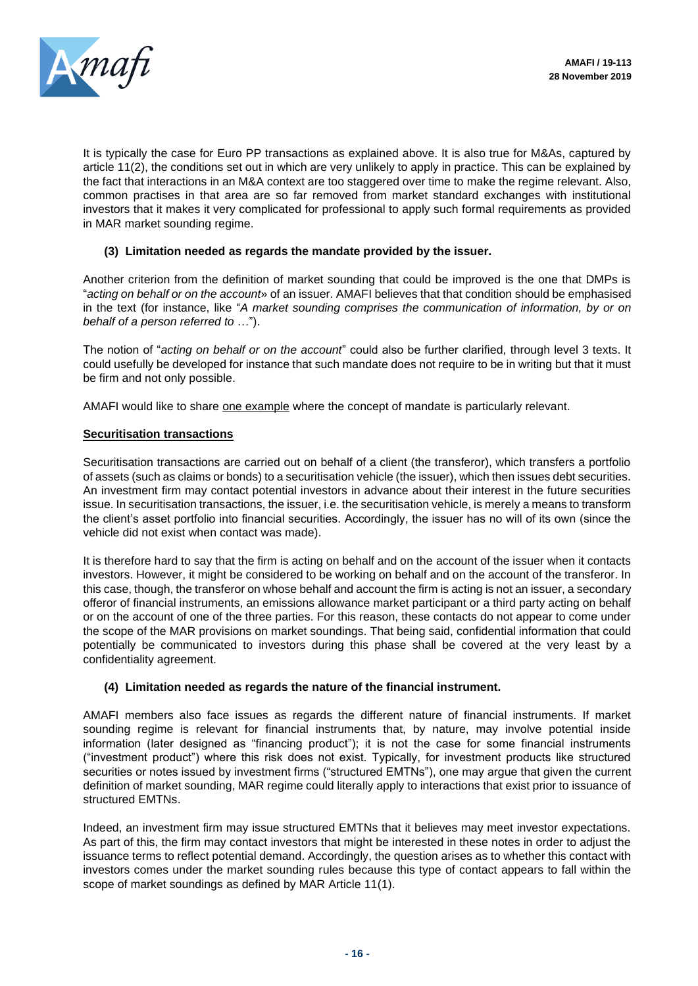

It is typically the case for Euro PP transactions as explained above. It is also true for M&As, captured by article 11(2), the conditions set out in which are very unlikely to apply in practice. This can be explained by the fact that interactions in an M&A context are too staggered over time to make the regime relevant. Also, common practises in that area are so far removed from market standard exchanges with institutional investors that it makes it very complicated for professional to apply such formal requirements as provided in MAR market sounding regime.

## **(3) Limitation needed as regards the mandate provided by the issuer.**

Another criterion from the definition of market sounding that could be improved is the one that DMPs is "*acting on behalf or on the account*» of an issuer. AMAFI believes that that condition should be emphasised in the text (for instance, like "*A market sounding comprises the communication of information, by or on behalf of a person referred to* …").

The notion of "*acting on behalf or on the account*" could also be further clarified, through level 3 texts. It could usefully be developed for instance that such mandate does not require to be in writing but that it must be firm and not only possible.

AMAFI would like to share one example where the concept of mandate is particularly relevant.

## **Securitisation transactions**

Securitisation transactions are carried out on behalf of a client (the transferor), which transfers a portfolio of assets (such as claims or bonds) to a securitisation vehicle (the issuer), which then issues debt securities. An investment firm may contact potential investors in advance about their interest in the future securities issue. In securitisation transactions, the issuer, i.e. the securitisation vehicle, is merely a means to transform the client's asset portfolio into financial securities. Accordingly, the issuer has no will of its own (since the vehicle did not exist when contact was made).

It is therefore hard to say that the firm is acting on behalf and on the account of the issuer when it contacts investors. However, it might be considered to be working on behalf and on the account of the transferor. In this case, though, the transferor on whose behalf and account the firm is acting is not an issuer, a secondary offeror of financial instruments, an emissions allowance market participant or a third party acting on behalf or on the account of one of the three parties. For this reason, these contacts do not appear to come under the scope of the MAR provisions on market soundings. That being said, confidential information that could potentially be communicated to investors during this phase shall be covered at the very least by a confidentiality agreement.

## **(4) Limitation needed as regards the nature of the financial instrument.**

AMAFI members also face issues as regards the different nature of financial instruments. If market sounding regime is relevant for financial instruments that, by nature, may involve potential inside information (later designed as "financing product"); it is not the case for some financial instruments ("investment product") where this risk does not exist. Typically, for investment products like structured securities or notes issued by investment firms ("structured EMTNs"), one may argue that given the current definition of market sounding, MAR regime could literally apply to interactions that exist prior to issuance of structured EMTNs.

Indeed, an investment firm may issue structured EMTNs that it believes may meet investor expectations. As part of this, the firm may contact investors that might be interested in these notes in order to adjust the issuance terms to reflect potential demand. Accordingly, the question arises as to whether this contact with investors comes under the market sounding rules because this type of contact appears to fall within the scope of market soundings as defined by MAR Article 11(1).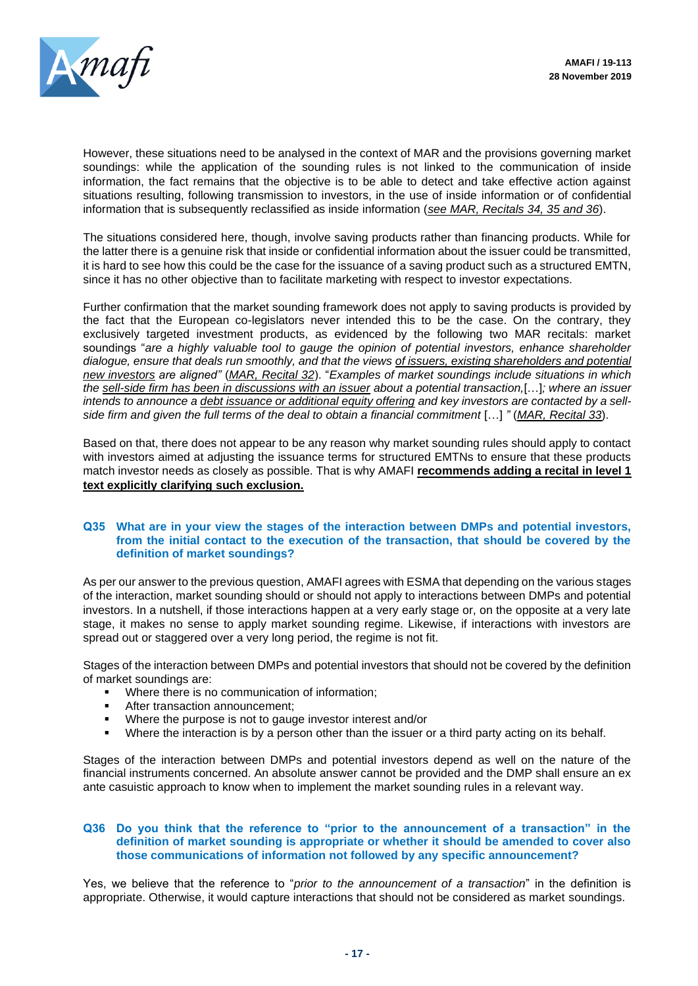

However, these situations need to be analysed in the context of MAR and the provisions governing market soundings: while the application of the sounding rules is not linked to the communication of inside information, the fact remains that the objective is to be able to detect and take effective action against situations resulting, following transmission to investors, in the use of inside information or of confidential information that is subsequently reclassified as inside information (*see MAR, Recitals 34, 35 and 36*).

The situations considered here, though, involve saving products rather than financing products. While for the latter there is a genuine risk that inside or confidential information about the issuer could be transmitted, it is hard to see how this could be the case for the issuance of a saving product such as a structured EMTN, since it has no other objective than to facilitate marketing with respect to investor expectations.

Further confirmation that the market sounding framework does not apply to saving products is provided by the fact that the European co-legislators never intended this to be the case. On the contrary, they exclusively targeted investment products, as evidenced by the following two MAR recitals: market soundings "*are a highly valuable tool to gauge the opinion of potential investors, enhance shareholder dialogue, ensure that deals run smoothly, and that the views of issuers, existing shareholders and potential new investors are aligned"* (*MAR, Recital 32*). "*Examples of market soundings include situations in which the sell-side firm has been in discussions with an issuer about a potential transaction,*[…]*; where an issuer intends to announce a debt issuance or additional equity offering and key investors are contacted by a sellside firm and given the full terms of the deal to obtain a financial commitment* […] *"* (*MAR, Recital 33*).

Based on that, there does not appear to be any reason why market sounding rules should apply to contact with investors aimed at adjusting the issuance terms for structured EMTNs to ensure that these products match investor needs as closely as possible. That is why AMAFI **recommends adding a recital in level 1 text explicitly clarifying such exclusion.** 

#### **Q35 What are in your view the stages of the interaction between DMPs and potential investors, from the initial contact to the execution of the transaction, that should be covered by the definition of market soundings?**

As per our answer to the previous question, AMAFI agrees with ESMA that depending on the various stages of the interaction, market sounding should or should not apply to interactions between DMPs and potential investors. In a nutshell, if those interactions happen at a very early stage or, on the opposite at a very late stage, it makes no sense to apply market sounding regime. Likewise, if interactions with investors are spread out or staggered over a very long period, the regime is not fit.

Stages of the interaction between DMPs and potential investors that should not be covered by the definition of market soundings are:

- Where there is no communication of information:
- After transaction announcement;
- Where the purpose is not to gauge investor interest and/or
- Where the interaction is by a person other than the issuer or a third party acting on its behalf.

Stages of the interaction between DMPs and potential investors depend as well on the nature of the financial instruments concerned. An absolute answer cannot be provided and the DMP shall ensure an ex ante casuistic approach to know when to implement the market sounding rules in a relevant way.

#### **Q36 Do you think that the reference to "prior to the announcement of a transaction" in the definition of market sounding is appropriate or whether it should be amended to cover also those communications of information not followed by any specific announcement?**

Yes, we believe that the reference to "*prior to the announcement of a transaction*" in the definition is appropriate. Otherwise, it would capture interactions that should not be considered as market soundings.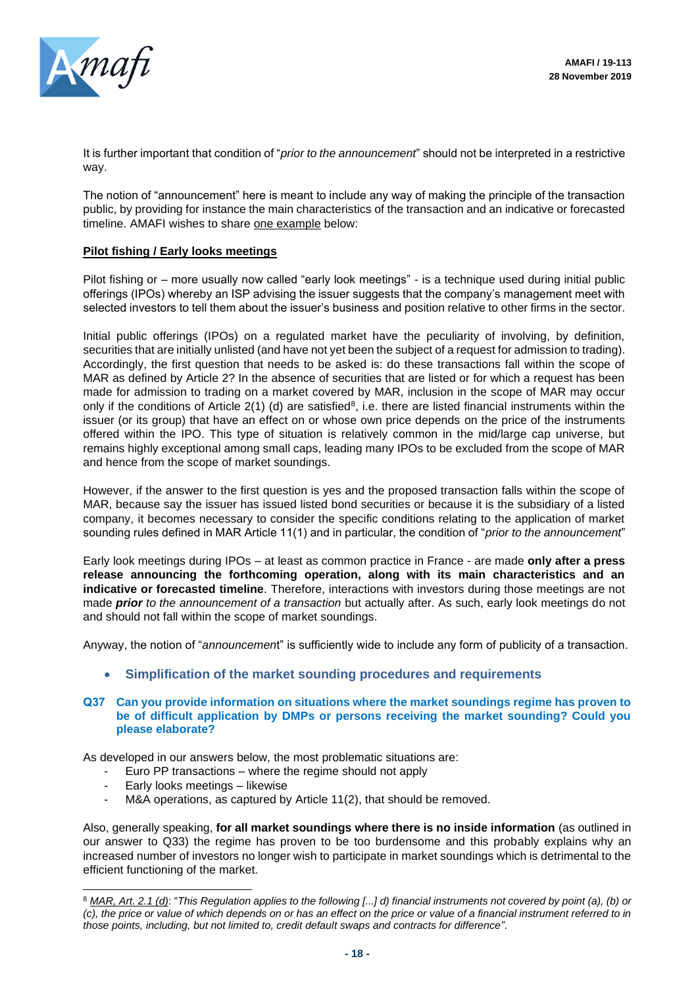

It is further important that condition of "*prior to the announcement*" should not be interpreted in a restrictive way.

The notion of "announcement" here is meant to include any way of making the principle of the transaction public, by providing for instance the main characteristics of the transaction and an indicative or forecasted timeline. AMAFI wishes to share one example below:

## **Pilot fishing / Early looks meetings**

Pilot fishing or – more usually now called "early look meetings" - is a technique used during initial public offerings (IPOs) whereby an ISP advising the issuer suggests that the company's management meet with selected investors to tell them about the issuer's business and position relative to other firms in the sector.

Initial public offerings (IPOs) on a regulated market have the peculiarity of involving, by definition, securities that are initially unlisted (and have not yet been the subject of a request for admission to trading). Accordingly, the first question that needs to be asked is: do these transactions fall within the scope of MAR as defined by Article 2? In the absence of securities that are listed or for which a request has been made for admission to trading on a market covered by MAR, inclusion in the scope of MAR may occur only if the conditions of Article  $2(1)$  (d) are satisfied<sup>8</sup>, i.e. there are listed financial instruments within the issuer (or its group) that have an effect on or whose own price depends on the price of the instruments offered within the IPO. This type of situation is relatively common in the mid/large cap universe, but remains highly exceptional among small caps, leading many IPOs to be excluded from the scope of MAR and hence from the scope of market soundings.

However, if the answer to the first question is yes and the proposed transaction falls within the scope of MAR, because say the issuer has issued listed bond securities or because it is the subsidiary of a listed company, it becomes necessary to consider the specific conditions relating to the application of market sounding rules defined in MAR Article 11(1) and in particular, the condition of "*prior to the announcement*"

Early look meetings during IPOs – at least as common practice in France - are made **only after a press release announcing the forthcoming operation, along with its main characteristics and an indicative or forecasted timeline**. Therefore, interactions with investors during those meetings are not made *prior to the announcement of a transaction* but actually after. As such, early look meetings do not and should not fall within the scope of market soundings.

Anyway, the notion of "*announcemen*t" is sufficiently wide to include any form of publicity of a transaction.

• **Simplification of the market sounding procedures and requirements**

#### **Q37 Can you provide information on situations where the market soundings regime has proven to be of difficult application by DMPs or persons receiving the market sounding? Could you please elaborate?**

As developed in our answers below, the most problematic situations are:

- Euro PP transactions where the regime should not apply
- Early looks meetings likewise
- M&A operations, as captured by Article 11(2), that should be removed.

Also, generally speaking, **for all market soundings where there is no inside information** (as outlined in our answer to Q33) the regime has proven to be too burdensome and this probably explains why an increased number of investors no longer wish to participate in market soundings which is detrimental to the efficient functioning of the market.

<sup>8</sup> *MAR, Art. 2.1 (d)*: "*This Regulation applies to the following [...] d) financial instruments not covered by point (a), (b) or (c), the price or value of which depends on or has an effect on the price or value of a financial instrument referred to in those points, including, but not limited to, credit default swaps and contracts for difference"*.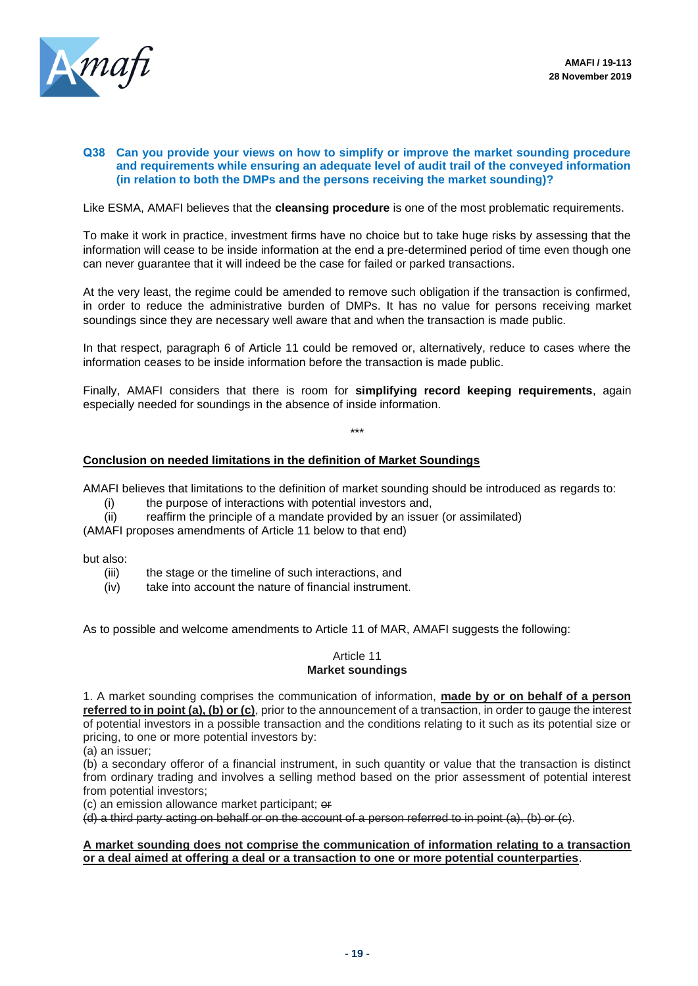

#### **Q38 Can you provide your views on how to simplify or improve the market sounding procedure and requirements while ensuring an adequate level of audit trail of the conveyed information (in relation to both the DMPs and the persons receiving the market sounding)?**

Like ESMA, AMAFI believes that the **cleansing procedure** is one of the most problematic requirements.

To make it work in practice, investment firms have no choice but to take huge risks by assessing that the information will cease to be inside information at the end a pre-determined period of time even though one can never guarantee that it will indeed be the case for failed or parked transactions.

At the very least, the regime could be amended to remove such obligation if the transaction is confirmed, in order to reduce the administrative burden of DMPs. It has no value for persons receiving market soundings since they are necessary well aware that and when the transaction is made public.

In that respect, paragraph 6 of Article 11 could be removed or, alternatively, reduce to cases where the information ceases to be inside information before the transaction is made public.

Finally, AMAFI considers that there is room for **simplifying record keeping requirements**, again especially needed for soundings in the absence of inside information.

\*\*\*

## **Conclusion on needed limitations in the definition of Market Soundings**

AMAFI believes that limitations to the definition of market sounding should be introduced as regards to:

- (i) the purpose of interactions with potential investors and,
- (ii) reaffirm the principle of a mandate provided by an issuer (or assimilated)

(AMAFI proposes amendments of Article 11 below to that end)

but also:

- (iii) the stage or the timeline of such interactions, and
- (iv) take into account the nature of financial instrument.

As to possible and welcome amendments to Article 11 of MAR, AMAFI suggests the following:

#### Article 11 **Market soundings**

1. A market sounding comprises the communication of information, **made by or on behalf of a person referred to in point (a), (b) or (c)**, prior to the announcement of a transaction, in order to gauge the interest of potential investors in a possible transaction and the conditions relating to it such as its potential size or pricing, to one or more potential investors by:

(a) an issuer;

(b) a secondary offeror of a financial instrument, in such quantity or value that the transaction is distinct from ordinary trading and involves a selling method based on the prior assessment of potential interest from potential investors;

(c) an emission allowance market participant; or

(d) a third party acting on behalf or on the account of a person referred to in point (a), (b) or (c).

#### **A market sounding does not comprise the communication of information relating to a transaction or a deal aimed at offering a deal or a transaction to one or more potential counterparties**.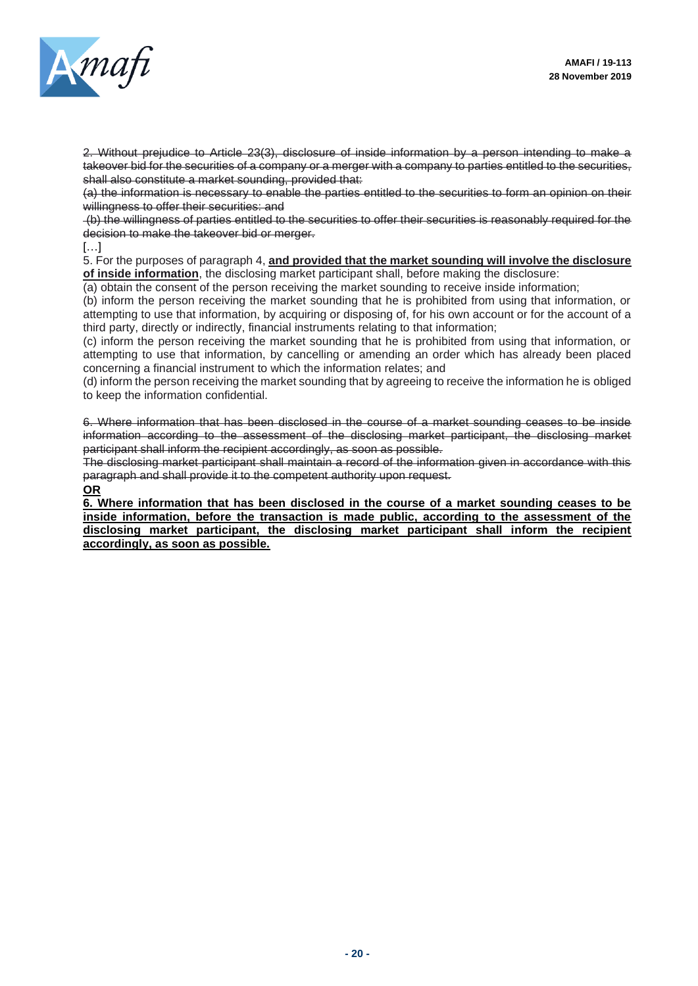

2. Without prejudice to Article 23(3), disclosure of inside information by a person intending to make a takeover bid for the securities of a company or a merger with a company to parties entitled to the securities, shall also constitute a market sounding, provided that:

(a) the information is necessary to enable the parties entitled to the securities to form an opinion on their willingness to offer their securities: and

(b) the willingness of parties entitled to the securities to offer their securities is reasonably required for the decision to make the takeover bid or merger.

## […]

5. For the purposes of paragraph 4, **and provided that the market sounding will involve the disclosure of inside information**, the disclosing market participant shall, before making the disclosure:

(a) obtain the consent of the person receiving the market sounding to receive inside information;

(b) inform the person receiving the market sounding that he is prohibited from using that information, or attempting to use that information, by acquiring or disposing of, for his own account or for the account of a third party, directly or indirectly, financial instruments relating to that information;

(c) inform the person receiving the market sounding that he is prohibited from using that information, or attempting to use that information, by cancelling or amending an order which has already been placed concerning a financial instrument to which the information relates; and

(d) inform the person receiving the market sounding that by agreeing to receive the information he is obliged to keep the information confidential.

6. Where information that has been disclosed in the course of a market sounding ceases to be inside information according to the assessment of the disclosing market participant, the disclosing market participant shall inform the recipient accordingly, as soon as possible.

The disclosing market participant shall maintain a record of the information given in accordance with this paragraph and shall provide it to the competent authority upon request.

**OR**

**6. Where information that has been disclosed in the course of a market sounding ceases to be inside information, before the transaction is made public, according to the assessment of the disclosing market participant, the disclosing market participant shall inform the recipient accordingly, as soon as possible.**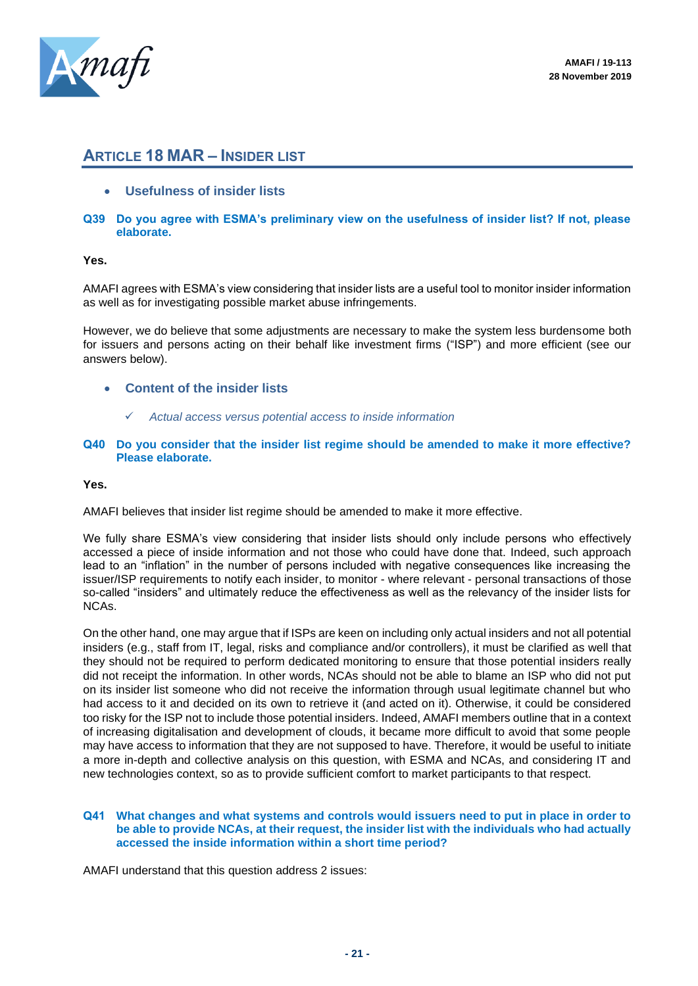

## **ARTICLE 18 MAR – INSIDER LIST**

- **Usefulness of insider lists**
- **Q39 Do you agree with ESMA's preliminary view on the usefulness of insider list? If not, please elaborate.**

**Yes.**

AMAFI agrees with ESMA's view considering that insider lists are a useful tool to monitor insider information as well as for investigating possible market abuse infringements.

However, we do believe that some adjustments are necessary to make the system less burdensome both for issuers and persons acting on their behalf like investment firms ("ISP") and more efficient (see our answers below).

- **Content of the insider lists**
	- ✓ *Actual access versus potential access to inside information*
- **Q40 Do you consider that the insider list regime should be amended to make it more effective? Please elaborate.**

**Yes.**

AMAFI believes that insider list regime should be amended to make it more effective.

We fully share ESMA's view considering that insider lists should only include persons who effectively accessed a piece of inside information and not those who could have done that. Indeed, such approach lead to an "inflation" in the number of persons included with negative consequences like increasing the issuer/ISP requirements to notify each insider, to monitor - where relevant - personal transactions of those so-called "insiders" and ultimately reduce the effectiveness as well as the relevancy of the insider lists for NCAs.

On the other hand, one may argue that if ISPs are keen on including only actual insiders and not all potential insiders (e.g., staff from IT, legal, risks and compliance and/or controllers), it must be clarified as well that they should not be required to perform dedicated monitoring to ensure that those potential insiders really did not receipt the information. In other words, NCAs should not be able to blame an ISP who did not put on its insider list someone who did not receive the information through usual legitimate channel but who had access to it and decided on its own to retrieve it (and acted on it). Otherwise, it could be considered too risky for the ISP not to include those potential insiders. Indeed, AMAFI members outline that in a context of increasing digitalisation and development of clouds, it became more difficult to avoid that some people may have access to information that they are not supposed to have. Therefore, it would be useful to initiate a more in-depth and collective analysis on this question, with ESMA and NCAs, and considering IT and new technologies context, so as to provide sufficient comfort to market participants to that respect.

#### **Q41 What changes and what systems and controls would issuers need to put in place in order to be able to provide NCAs, at their request, the insider list with the individuals who had actually accessed the inside information within a short time period?**

AMAFI understand that this question address 2 issues: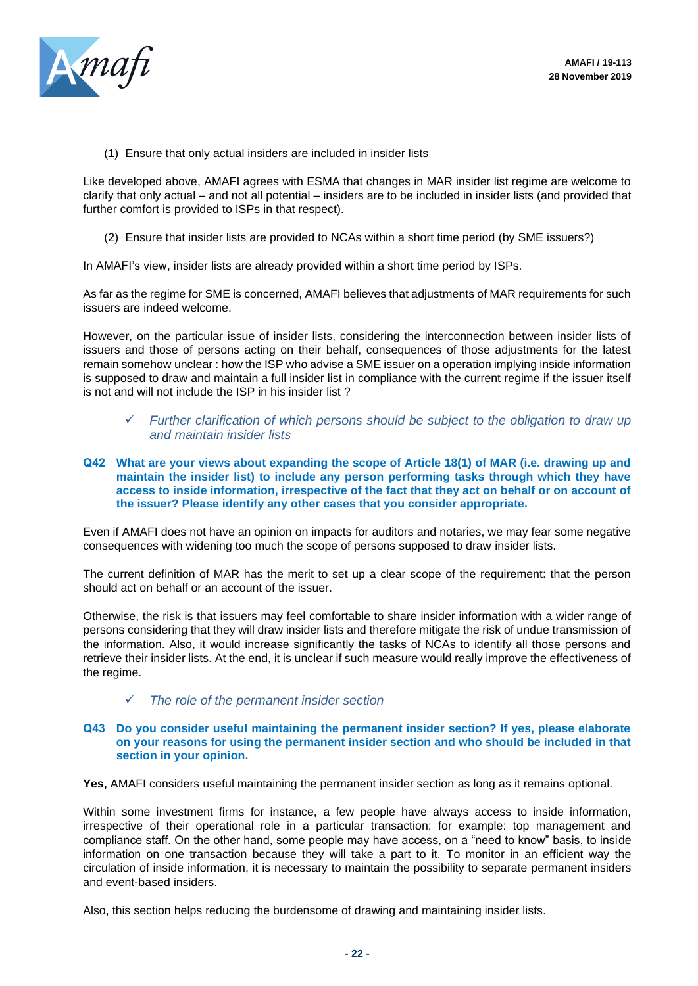

(1) Ensure that only actual insiders are included in insider lists

Like developed above, AMAFI agrees with ESMA that changes in MAR insider list regime are welcome to clarify that only actual – and not all potential – insiders are to be included in insider lists (and provided that further comfort is provided to ISPs in that respect).

(2) Ensure that insider lists are provided to NCAs within a short time period (by SME issuers?)

In AMAFI's view, insider lists are already provided within a short time period by ISPs.

As far as the regime for SME is concerned, AMAFI believes that adjustments of MAR requirements for such issuers are indeed welcome.

However, on the particular issue of insider lists, considering the interconnection between insider lists of issuers and those of persons acting on their behalf, consequences of those adjustments for the latest remain somehow unclear : how the ISP who advise a SME issuer on a operation implying inside information is supposed to draw and maintain a full insider list in compliance with the current regime if the issuer itself is not and will not include the ISP in his insider list ?

- ✓ *Further clarification of which persons should be subject to the obligation to draw up and maintain insider lists*
- **Q42 What are your views about expanding the scope of Article 18(1) of MAR (i.e. drawing up and maintain the insider list) to include any person performing tasks through which they have access to inside information, irrespective of the fact that they act on behalf or on account of the issuer? Please identify any other cases that you consider appropriate.**

Even if AMAFI does not have an opinion on impacts for auditors and notaries, we may fear some negative consequences with widening too much the scope of persons supposed to draw insider lists.

The current definition of MAR has the merit to set up a clear scope of the requirement: that the person should act on behalf or an account of the issuer.

Otherwise, the risk is that issuers may feel comfortable to share insider information with a wider range of persons considering that they will draw insider lists and therefore mitigate the risk of undue transmission of the information. Also, it would increase significantly the tasks of NCAs to identify all those persons and retrieve their insider lists. At the end, it is unclear if such measure would really improve the effectiveness of the regime.

✓ *The role of the permanent insider section*

#### **Q43 Do you consider useful maintaining the permanent insider section? If yes, please elaborate on your reasons for using the permanent insider section and who should be included in that section in your opinion.**

**Yes,** AMAFI considers useful maintaining the permanent insider section as long as it remains optional.

Within some investment firms for instance, a few people have always access to inside information, irrespective of their operational role in a particular transaction: for example: top management and compliance staff. On the other hand, some people may have access, on a "need to know" basis, to inside information on one transaction because they will take a part to it. To monitor in an efficient way the circulation of inside information, it is necessary to maintain the possibility to separate permanent insiders and event-based insiders.

Also, this section helps reducing the burdensome of drawing and maintaining insider lists.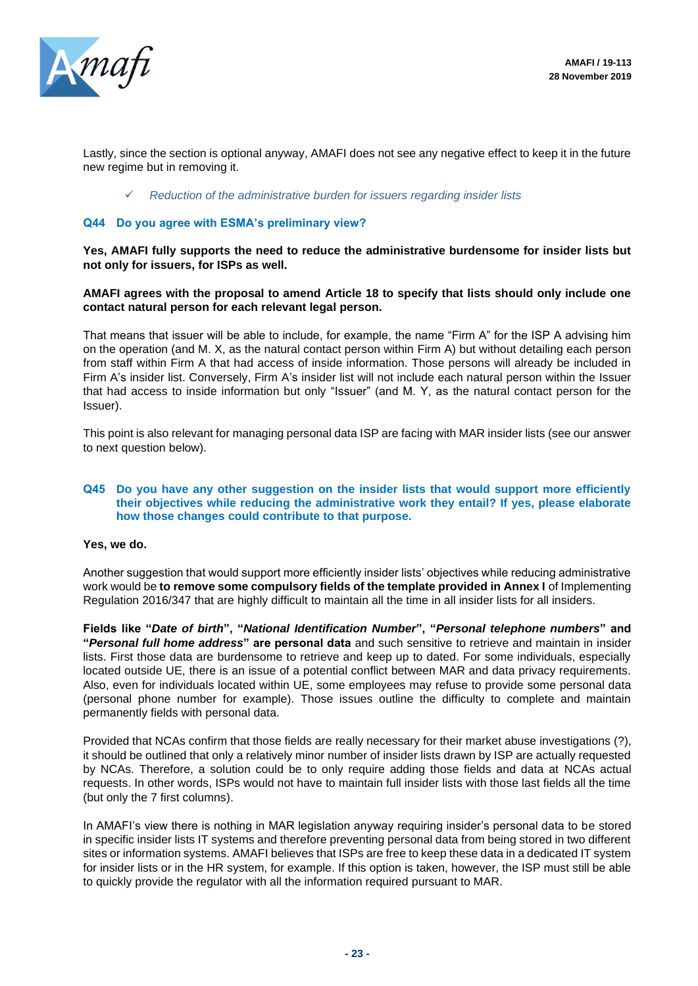

Lastly, since the section is optional anyway, AMAFI does not see any negative effect to keep it in the future new regime but in removing it.

✓ *Reduction of the administrative burden for issuers regarding insider lists*

#### **Q44 Do you agree with ESMA's preliminary view?**

**Yes, AMAFI fully supports the need to reduce the administrative burdensome for insider lists but not only for issuers, for ISPs as well.** 

#### **AMAFI agrees with the proposal to amend Article 18 to specify that lists should only include one contact natural person for each relevant legal person.**

That means that issuer will be able to include, for example, the name "Firm A" for the ISP A advising him on the operation (and M. X, as the natural contact person within Firm A) but without detailing each person from staff within Firm A that had access of inside information. Those persons will already be included in Firm A's insider list. Conversely, Firm A's insider list will not include each natural person within the Issuer that had access to inside information but only "Issuer" (and M. Y, as the natural contact person for the Issuer).

This point is also relevant for managing personal data ISP are facing with MAR insider lists (see our answer to next question below).

#### **Q45 Do you have any other suggestion on the insider lists that would support more efficiently their objectives while reducing the administrative work they entail? If yes, please elaborate how those changes could contribute to that purpose.**

#### **Yes, we do.**

Another suggestion that would support more efficiently insider lists' objectives while reducing administrative work would be **to remove some compulsory fields of the template provided in Annex I** of Implementing Regulation 2016/347 that are highly difficult to maintain all the time in all insider lists for all insiders.

**Fields like "***Date of birth***", "***National Identification Number***", "***Personal telephone numbers***" and "***Personal full home address***" are personal data** and such sensitive to retrieve and maintain in insider lists. First those data are burdensome to retrieve and keep up to dated. For some individuals, especially located outside UE, there is an issue of a potential conflict between MAR and data privacy requirements. Also, even for individuals located within UE, some employees may refuse to provide some personal data (personal phone number for example). Those issues outline the difficulty to complete and maintain permanently fields with personal data.

Provided that NCAs confirm that those fields are really necessary for their market abuse investigations (?), it should be outlined that only a relatively minor number of insider lists drawn by ISP are actually requested by NCAs. Therefore, a solution could be to only require adding those fields and data at NCAs actual requests. In other words, ISPs would not have to maintain full insider lists with those last fields all the time (but only the 7 first columns).

In AMAFI's view there is nothing in MAR legislation anyway requiring insider's personal data to be stored in specific insider lists IT systems and therefore preventing personal data from being stored in two different sites or information systems. AMAFI believes that ISPs are free to keep these data in a dedicated IT system for insider lists or in the HR system, for example. If this option is taken, however, the ISP must still be able to quickly provide the regulator with all the information required pursuant to MAR.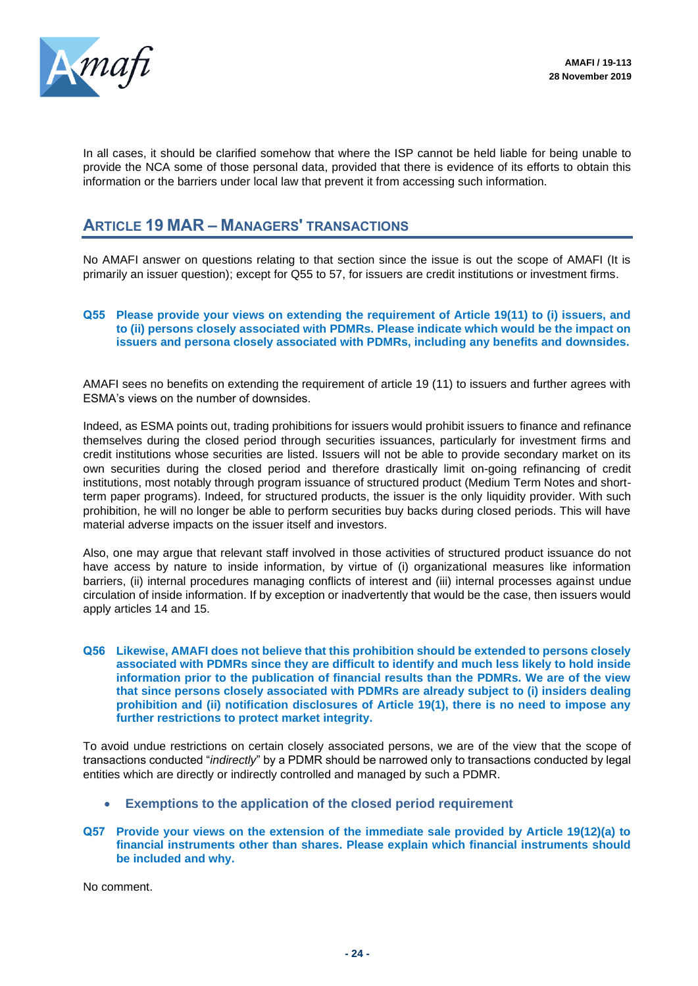

In all cases, it should be clarified somehow that where the ISP cannot be held liable for being unable to provide the NCA some of those personal data, provided that there is evidence of its efforts to obtain this information or the barriers under local law that prevent it from accessing such information.

## **ARTICLE 19 MAR – MANAGERS' TRANSACTIONS**

No AMAFI answer on questions relating to that section since the issue is out the scope of AMAFI (It is primarily an issuer question); except for Q55 to 57, for issuers are credit institutions or investment firms.

#### **Q55 Please provide your views on extending the requirement of Article 19(11) to (i) issuers, and to (ii) persons closely associated with PDMRs. Please indicate which would be the impact on issuers and persona closely associated with PDMRs, including any benefits and downsides.**

AMAFI sees no benefits on extending the requirement of article 19 (11) to issuers and further agrees with ESMA's views on the number of downsides.

Indeed, as ESMA points out, trading prohibitions for issuers would prohibit issuers to finance and refinance themselves during the closed period through securities issuances, particularly for investment firms and credit institutions whose securities are listed. Issuers will not be able to provide secondary market on its own securities during the closed period and therefore drastically limit on-going refinancing of credit institutions, most notably through program issuance of structured product (Medium Term Notes and shortterm paper programs). Indeed, for structured products, the issuer is the only liquidity provider. With such prohibition, he will no longer be able to perform securities buy backs during closed periods. This will have material adverse impacts on the issuer itself and investors.

Also, one may argue that relevant staff involved in those activities of structured product issuance do not have access by nature to inside information, by virtue of (i) organizational measures like information barriers, (ii) internal procedures managing conflicts of interest and (iii) internal processes against undue circulation of inside information. If by exception or inadvertently that would be the case, then issuers would apply articles 14 and 15.

#### **Q56 Likewise, AMAFI does not believe that this prohibition should be extended to persons closely associated with PDMRs since they are difficult to identify and much less likely to hold inside information prior to the publication of financial results than the PDMRs. We are of the view that since persons closely associated with PDMRs are already subject to (i) insiders dealing prohibition and (ii) notification disclosures of Article 19(1), there is no need to impose any further restrictions to protect market integrity.**

To avoid undue restrictions on certain closely associated persons, we are of the view that the scope of transactions conducted "*indirectly*" by a PDMR should be narrowed only to transactions conducted by legal entities which are directly or indirectly controlled and managed by such a PDMR.

- **Exemptions to the application of the closed period requirement**
- **Q57 Provide your views on the extension of the immediate sale provided by Article 19(12)(a) to financial instruments other than shares. Please explain which financial instruments should be included and why.**

No comment.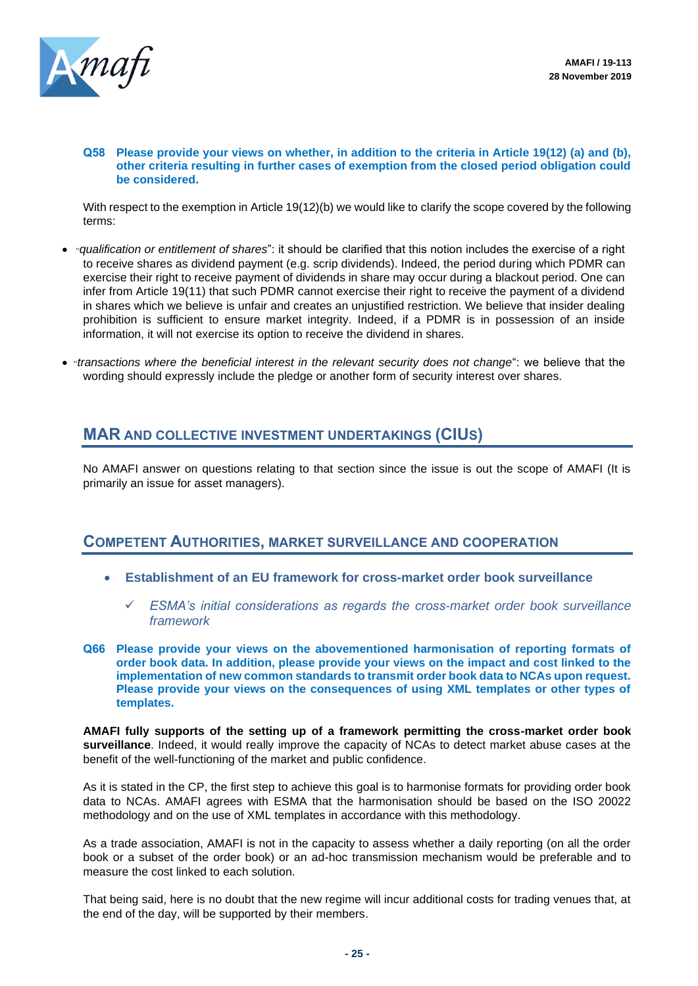

#### **Q58 Please provide your views on whether, in addition to the criteria in Article 19(12) (a) and (b), other criteria resulting in further cases of exemption from the closed period obligation could be considered.**

With respect to the exemption in Article 19(12)(b) we would like to clarify the scope covered by the following terms:

- "*qualification or entitlement of shares*": it should be clarified that this notion includes the exercise of a right to receive shares as dividend payment (e.g. scrip dividends). Indeed, the period during which PDMR can exercise their right to receive payment of dividends in share may occur during a blackout period. One can infer from Article 19(11) that such PDMR cannot exercise their right to receive the payment of a dividend in shares which we believe is unfair and creates an unjustified restriction. We believe that insider dealing prohibition is sufficient to ensure market integrity. Indeed, if a PDMR is in possession of an inside information, it will not exercise its option to receive the dividend in shares.
- "*transactions where the beneficial interest in the relevant security does not change*": we believe that the wording should expressly include the pledge or another form of security interest over shares.

## **MAR AND COLLECTIVE INVESTMENT UNDERTAKINGS (CIUS)**

No AMAFI answer on questions relating to that section since the issue is out the scope of AMAFI (It is primarily an issue for asset managers).

## **COMPETENT AUTHORITIES, MARKET SURVEILLANCE AND COOPERATION**

- **Establishment of an EU framework for cross-market order book surveillance**
	- ✓ *ESMA's initial considerations as regards the cross-market order book surveillance framework*
- **Q66 Please provide your views on the abovementioned harmonisation of reporting formats of order book data. In addition, please provide your views on the impact and cost linked to the implementation of new common standards to transmit order book data to NCAs upon request. Please provide your views on the consequences of using XML templates or other types of templates.**

**AMAFI fully supports of the setting up of a framework permitting the cross-market order book surveillance**. Indeed, it would really improve the capacity of NCAs to detect market abuse cases at the benefit of the well-functioning of the market and public confidence.

As it is stated in the CP, the first step to achieve this goal is to harmonise formats for providing order book data to NCAs. AMAFI agrees with ESMA that the harmonisation should be based on the ISO 20022 methodology and on the use of XML templates in accordance with this methodology.

As a trade association, AMAFI is not in the capacity to assess whether a daily reporting (on all the order book or a subset of the order book) or an ad-hoc transmission mechanism would be preferable and to measure the cost linked to each solution.

That being said, here is no doubt that the new regime will incur additional costs for trading venues that, at the end of the day, will be supported by their members.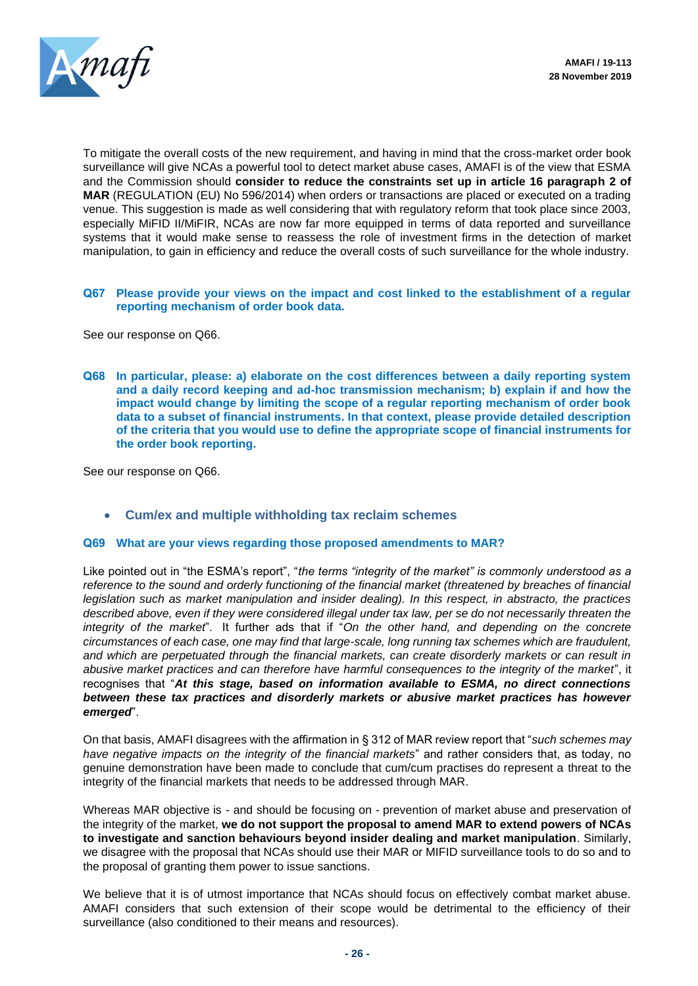

To mitigate the overall costs of the new requirement, and having in mind that the cross-market order book surveillance will give NCAs a powerful tool to detect market abuse cases, AMAFI is of the view that ESMA and the Commission should **consider to reduce the constraints set up in article 16 paragraph 2 of MAR** (REGULATION (EU) No 596/2014) when orders or transactions are placed or executed on a trading venue. This suggestion is made as well considering that with regulatory reform that took place since 2003, especially MiFID II/MiFIR, NCAs are now far more equipped in terms of data reported and surveillance systems that it would make sense to reassess the role of investment firms in the detection of market manipulation, to gain in efficiency and reduce the overall costs of such surveillance for the whole industry.

**Q67 Please provide your views on the impact and cost linked to the establishment of a regular reporting mechanism of order book data.**

See our response on Q66.

**Q68 In particular, please: a) elaborate on the cost differences between a daily reporting system and a daily record keeping and ad-hoc transmission mechanism; b) explain if and how the impact would change by limiting the scope of a regular reporting mechanism of order book data to a subset of financial instruments. In that context, please provide detailed description of the criteria that you would use to define the appropriate scope of financial instruments for the order book reporting.**

See our response on Q66.

• **Cum/ex and multiple withholding tax reclaim schemes**

#### **Q69 What are your views regarding those proposed amendments to MAR?**

Like pointed out in "the ESMA's report", "*the terms "integrity of the market" is commonly understood as a reference to the sound and orderly functioning of the financial market (threatened by breaches of financial legislation such as market manipulation and insider dealing). In this respect, in abstracto, the practices described above, even if they were considered illegal under tax law, per se do not necessarily threaten the integrity of the market*". It further ads that if "*On the other hand, and depending on the concrete circumstances of each case, one may find that large-scale, long running tax schemes which are fraudulent, and which are perpetuated through the financial markets, can create disorderly markets or can result in abusive market practices and can therefore have harmful consequences to the integrity of the market*", it recognises that "*At this stage, based on information available to ESMA, no direct connections between these tax practices and disorderly markets or abusive market practices has however emerged*".

On that basis, AMAFI disagrees with the affirmation in § 312 of MAR review report that "*such schemes may have negative impacts on the integrity of the financial markets*" and rather considers that, as today, no genuine demonstration have been made to conclude that cum/cum practises do represent a threat to the integrity of the financial markets that needs to be addressed through MAR.

Whereas MAR objective is - and should be focusing on - prevention of market abuse and preservation of the integrity of the market, **we do not support the proposal to amend MAR to extend powers of NCAs to investigate and sanction behaviours beyond insider dealing and market manipulation**. Similarly, we disagree with the proposal that NCAs should use their MAR or MIFID surveillance tools to do so and to the proposal of granting them power to issue sanctions.

We believe that it is of utmost importance that NCAs should focus on effectively combat market abuse. AMAFI considers that such extension of their scope would be detrimental to the efficiency of their surveillance (also conditioned to their means and resources).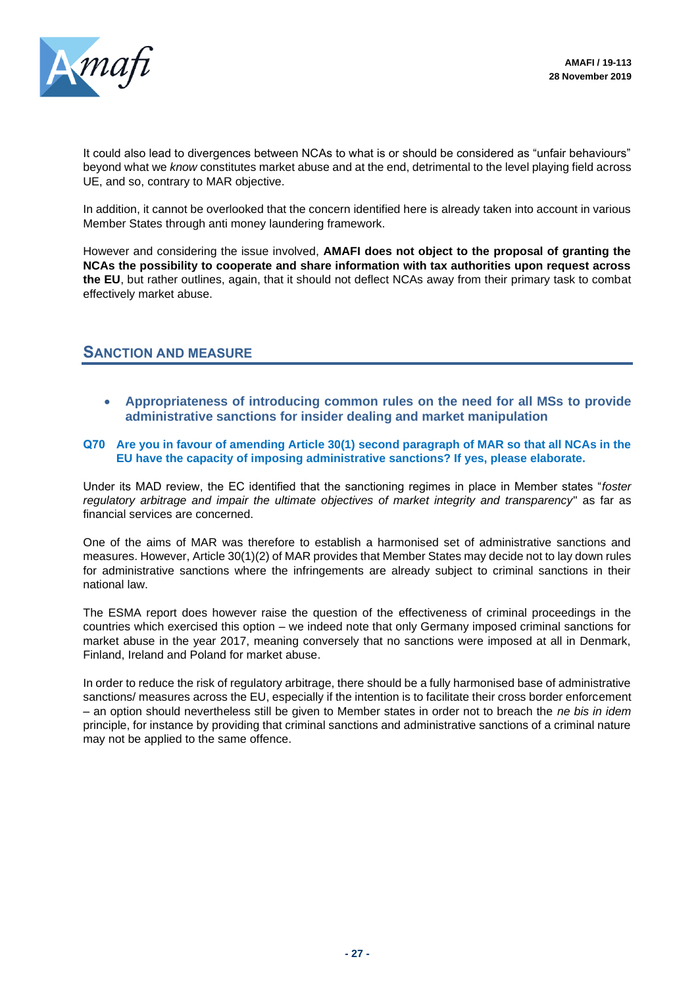

It could also lead to divergences between NCAs to what is or should be considered as "unfair behaviours" beyond what we *know* constitutes market abuse and at the end, detrimental to the level playing field across UE, and so, contrary to MAR objective.

In addition, it cannot be overlooked that the concern identified here is already taken into account in various Member States through anti money laundering framework.

However and considering the issue involved, **AMAFI does not object to the proposal of granting the NCAs the possibility to cooperate and share information with tax authorities upon request across the EU**, but rather outlines, again, that it should not deflect NCAs away from their primary task to combat effectively market abuse.

## **SANCTION AND MEASURE**

• **Appropriateness of introducing common rules on the need for all MSs to provide administrative sanctions for insider dealing and market manipulation**

## **Q70 Are you in favour of amending Article 30(1) second paragraph of MAR so that all NCAs in the EU have the capacity of imposing administrative sanctions? If yes, please elaborate.**

Under its MAD review, the EC identified that the sanctioning regimes in place in Member states "*foster regulatory arbitrage and impair the ultimate objectives of market integrity and transparency*" as far as financial services are concerned.

One of the aims of MAR was therefore to establish a harmonised set of administrative sanctions and measures. However, Article 30(1)(2) of MAR provides that Member States may decide not to lay down rules for administrative sanctions where the infringements are already subject to criminal sanctions in their national law.

The ESMA report does however raise the question of the effectiveness of criminal proceedings in the countries which exercised this option – we indeed note that only Germany imposed criminal sanctions for market abuse in the year 2017, meaning conversely that no sanctions were imposed at all in Denmark, Finland, Ireland and Poland for market abuse.

In order to reduce the risk of regulatory arbitrage, there should be a fully harmonised base of administrative sanctions/ measures across the EU, especially if the intention is to facilitate their cross border enforcement – an option should nevertheless still be given to Member states in order not to breach the *ne bis in idem* principle, for instance by providing that criminal sanctions and administrative sanctions of a criminal nature may not be applied to the same offence.